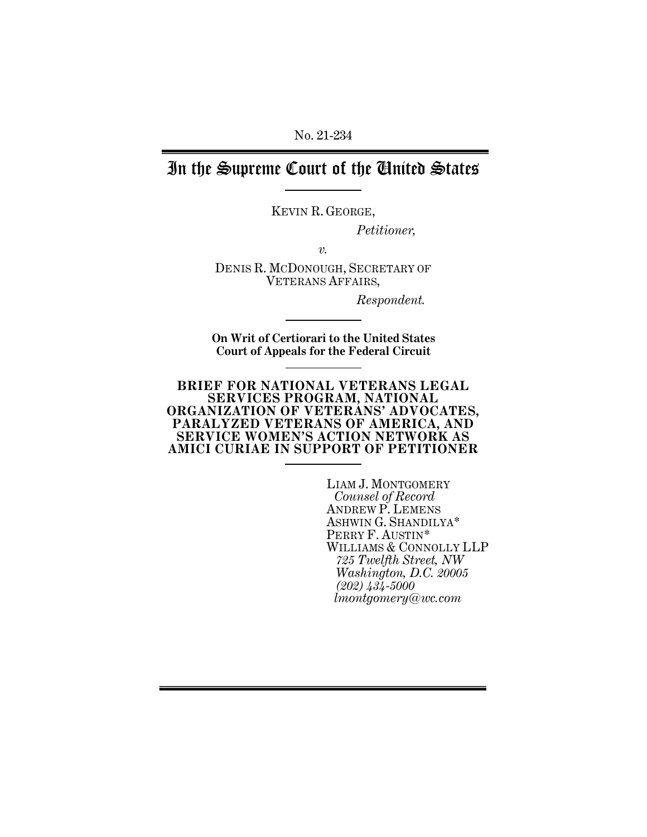No. 21-234

# In the Supreme Court of the United States

KEVIN R. GEORGE,

*Petitioner,*

*v.*

DENIS R. MCDONOUGH, SECRETARY OF VETERANS AFFAIRS,

*Respondent.*

**On Writ of Certiorari to the United States Court of Appeals for the Federal Circuit**

#### **BRIEF FOR NATIONAL VETERANS LEGAL SERVICES PROGRAM, NATIONAL ORGANIZATION OF VETERANS' ADVOCATES, PARALYZED VETERANS OF AMERICA, AND SERVICE WOMEN'S ACTION NETWORK AS AMICI CURIAE IN SUPPORT OF PETITIONER**

LIAM J. MONTGOMERY *Counsel of Record* ANDREW P. LEMENS ASHWIN G. SHANDILYA\* PERRY F. AUSTIN\* WILLIAMS & CONNOLLY LLP *725 Twelfth Street, NW Washington, D.C. 20005 (202) 434-5000 lmontgomery@wc.com*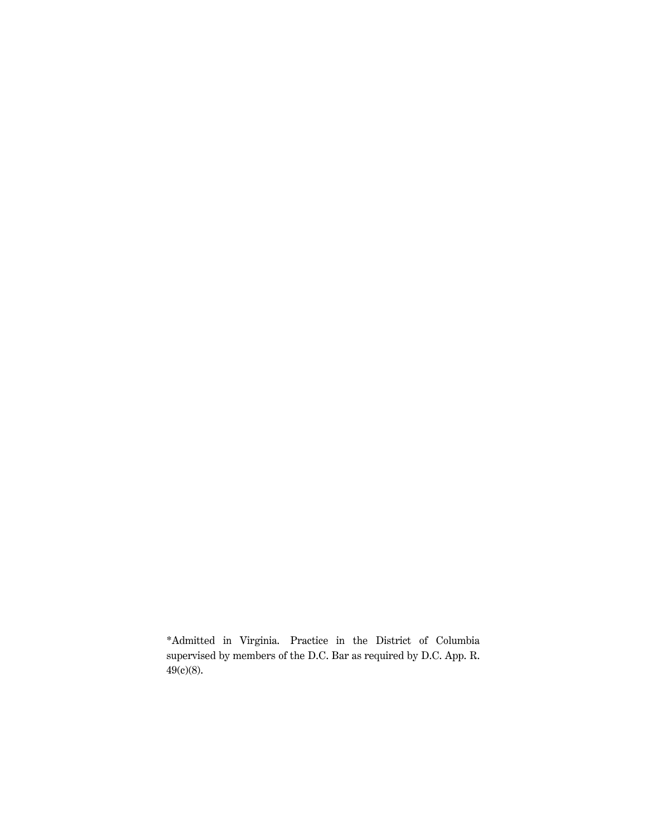\*Admitted in Virginia. Practice in the District of Columbia supervised by members of the D.C. Bar as required by D.C. App. R. 49(c)(8).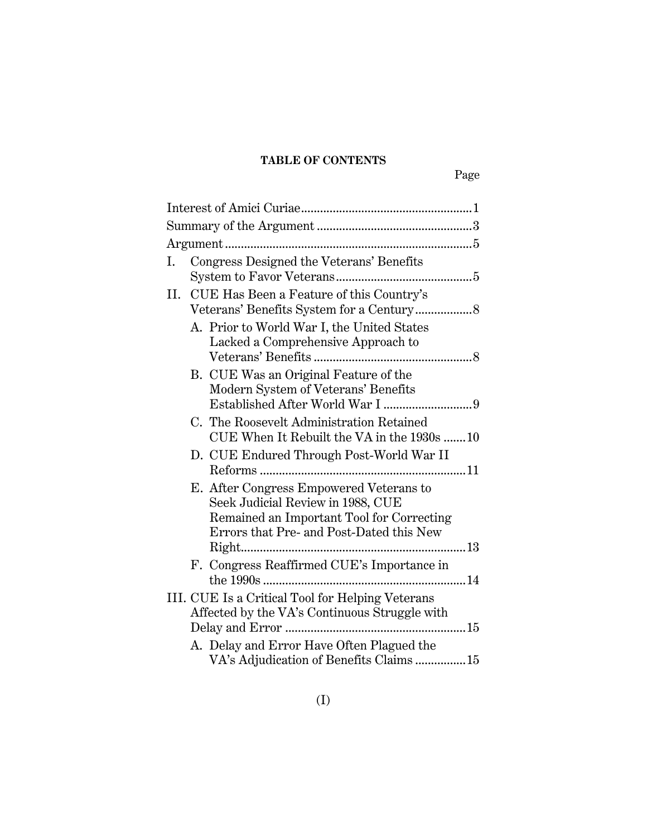## **TABLE OF CONTENTS**

| Ι. | Congress Designed the Veterans' Benefits                                                                                   |
|----|----------------------------------------------------------------------------------------------------------------------------|
| П. | CUE Has Been a Feature of this Country's                                                                                   |
|    | A. Prior to World War I, the United States<br>Lacked a Comprehensive Approach to                                           |
|    | B. CUE Was an Original Feature of the<br>Modern System of Veterans' Benefits                                               |
|    | C. The Roosevelt Administration Retained<br>CUE When It Rebuilt the VA in the 1930s 10                                     |
|    | D. CUE Endured Through Post-World War II                                                                                   |
|    | E. After Congress Empowered Veterans to<br>Seek Judicial Review in 1988, CUE<br>Remained an Important Tool for Correcting  |
|    | Errors that Pre- and Post-Dated this New                                                                                   |
|    | F. Congress Reaffirmed CUE's Importance in                                                                                 |
|    | III. CUE Is a Critical Tool for Helping Veterans<br>Affected by the VA's Continuous Struggle with<br>15<br>Delay and Error |
|    | A. Delay and Error Have Often Plagued the<br>VA's Adjudication of Benefits Claims 15                                       |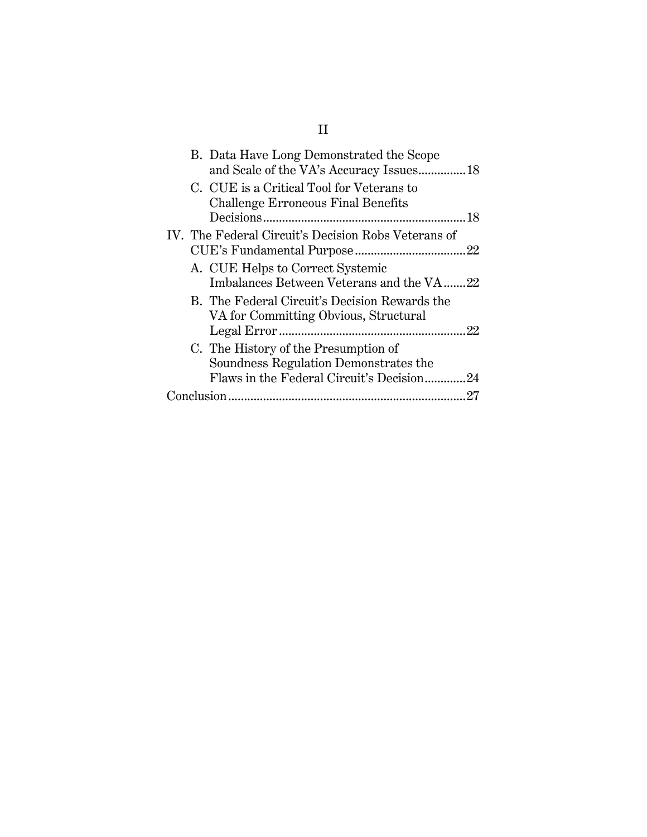| B. Data Have Long Demonstrated the Scope<br>and Scale of the VA's Accuracy Issues18                                        |
|----------------------------------------------------------------------------------------------------------------------------|
| C. CUE is a Critical Tool for Veterans to<br><b>Challenge Erroneous Final Benefits</b>                                     |
| IV. The Federal Circuit's Decision Robs Veterans of                                                                        |
| A. CUE Helps to Correct Systemic<br>Imbalances Between Veterans and the VA22                                               |
| B. The Federal Circuit's Decision Rewards the<br>VA for Committing Obvious, Structural                                     |
| C. The History of the Presumption of<br>Soundness Regulation Demonstrates the<br>Flaws in the Federal Circuit's Decision24 |
| 27                                                                                                                         |

# II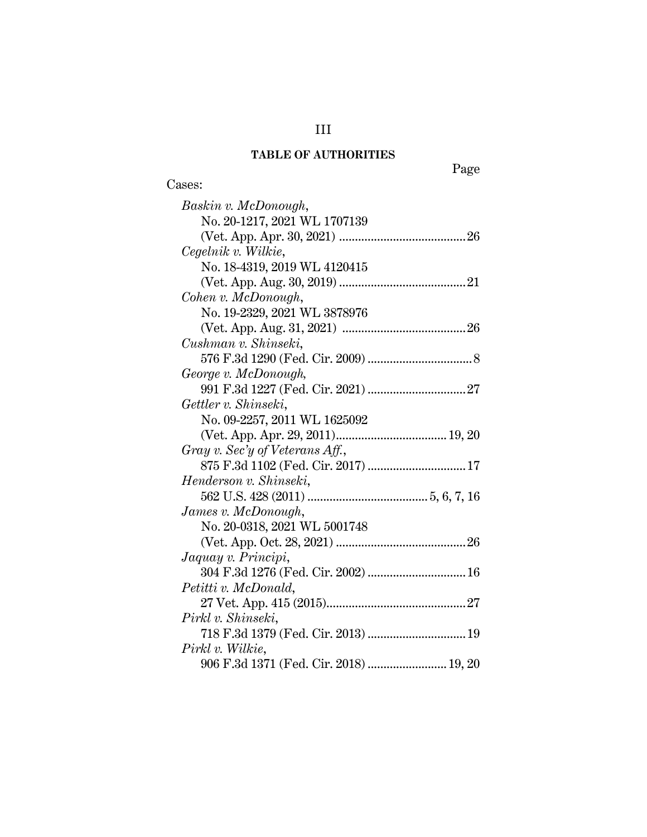# **TABLE OF AUTHORITIES**

Cases:

Page

| Baskin v. McDonough,                   |
|----------------------------------------|
| No. 20-1217, 2021 WL 1707139           |
|                                        |
| Cegelnik v. Wilkie,                    |
| No. 18-4319, 2019 WL 4120415           |
|                                        |
| Cohen v. McDonough,                    |
| No. 19-2329, 2021 WL 3878976           |
|                                        |
| Cushman v. Shinseki,                   |
|                                        |
| George v. McDonough,                   |
|                                        |
| Gettler v. Shinseki,                   |
| No. 09-2257, 2011 WL 1625092           |
|                                        |
| Gray v. Sec'y of Veterans Aff.,        |
| 875 F.3d 1102 (Fed. Cir. 2017)  17     |
| Henderson v. Shinseki,                 |
|                                        |
| James v. McDonough,                    |
| No. 20-0318, 2021 WL 5001748           |
|                                        |
| Jaquay v. Principi,                    |
|                                        |
| Petitti v. McDonald,                   |
|                                        |
| Pirkl v. Shinseki,                     |
| 718 F.3d 1379 (Fed. Cir. 2013)  19     |
| Pirkl v. Wilkie,                       |
| 906 F.3d 1371 (Fed. Cir. 2018)  19, 20 |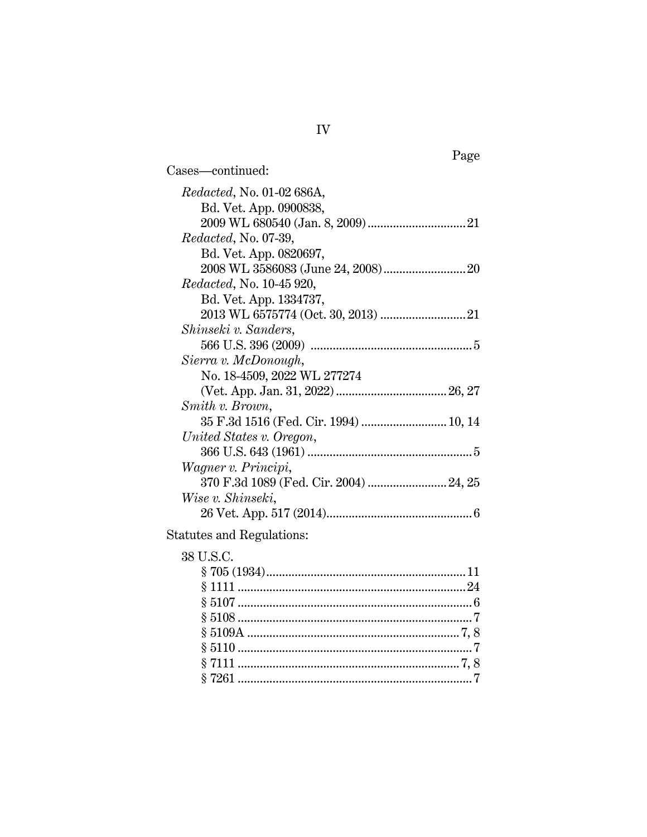| Cases—continued:                      |  |
|---------------------------------------|--|
| <i>Redacted</i> , No. 01-02 686A,     |  |
| Bd. Vet. App. 0900838,                |  |
|                                       |  |
| <i>Redacted, No. 07-39,</i>           |  |
| Bd. Vet. App. 0820697,                |  |
|                                       |  |
| <i>Redacted</i> , No. 10-45 920,      |  |
| Bd. Vet. App. 1334737,                |  |
|                                       |  |
| Shinseki v. Sanders,                  |  |
|                                       |  |
| Sierra v. McDonough,                  |  |
| No. 18-4509, 2022 WL 277274           |  |
|                                       |  |
| Smith v. Brown,                       |  |
| 35 F.3d 1516 (Fed. Cir. 1994)  10, 14 |  |
| United States v. Oregon,              |  |
|                                       |  |
| Wagner v. Principi,                   |  |
|                                       |  |
| Wise v. Shinseki,                     |  |
|                                       |  |
|                                       |  |

### Statutes and Regulations:

### 38 U.S.C. § 705 (1934)..............................................................[.11](#page-20-1) § 1111 .......................................................................[.24](#page-33-3) § 5107 .........................................................................[.6](#page-15-2) § 5108 .........................................................................[.7](#page-16-1) § 5109A ................................................................... [7,](#page-16-2) 8 § 5110 .........................................................................[.7](#page-16-3) § 7111 ...................................................................... [7,](#page-16-4) 8 § 7261 .........................................................................[.7](#page-16-5)

Page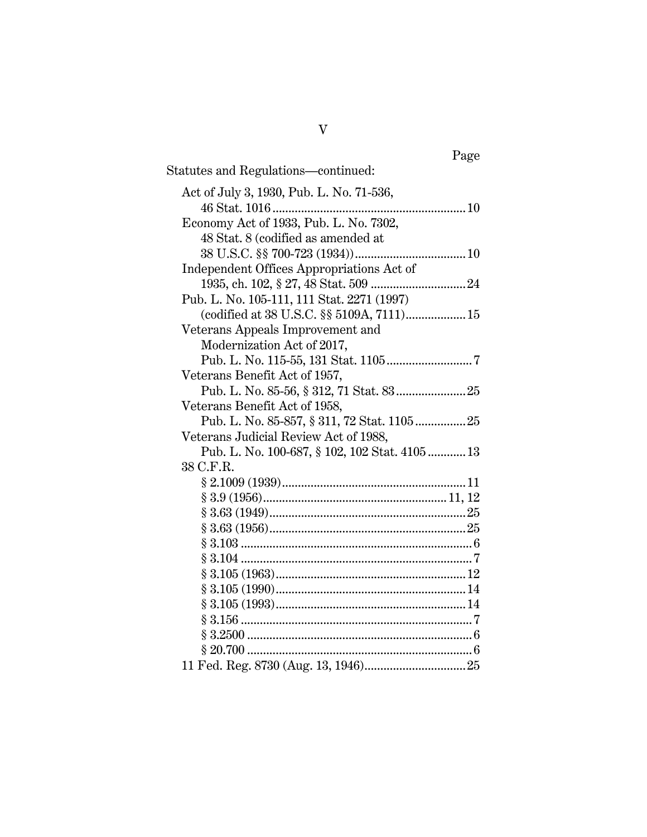| Page                                          |
|-----------------------------------------------|
| Statutes and Regulations-continued:           |
| Act of July 3, 1930, Pub. L. No. 71-536,      |
|                                               |
| Economy Act of 1933, Pub. L. No. 7302,        |
| 48 Stat. 8 (codified as amended at            |
|                                               |
| Independent Offices Appropriations Act of     |
|                                               |
| Pub. L. No. 105-111, 111 Stat. 2271 (1997)    |
| (codified at 38 U.S.C. §§ 5109A, 7111) 15     |
| Veterans Appeals Improvement and              |
| Modernization Act of 2017,                    |
|                                               |
| Veterans Benefit Act of 1957,                 |
|                                               |
| Veterans Benefit Act of 1958,                 |
| Pub. L. No. 85-857, § 311, 72 Stat. 1105 25   |
| Veterans Judicial Review Act of 1988,         |
| Pub. L. No. 100-687, § 102, 102 Stat. 4105 13 |
| 38 C.F.R.                                     |
|                                               |
|                                               |
|                                               |
|                                               |
|                                               |
|                                               |
|                                               |
|                                               |
|                                               |
|                                               |
|                                               |
|                                               |
|                                               |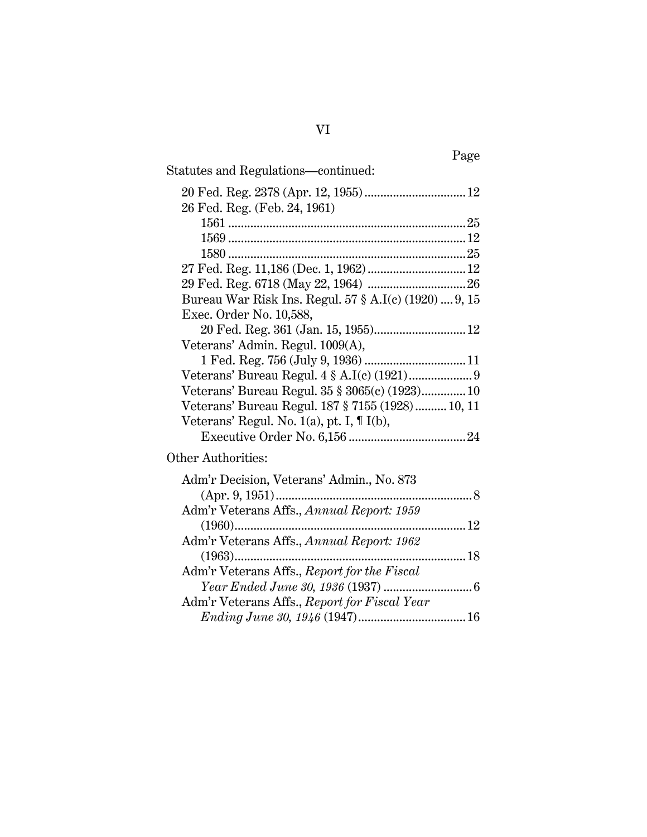| Page                                                  |
|-------------------------------------------------------|
| Statutes and Regulations—continued:                   |
|                                                       |
| 26 Fed. Reg. (Feb. 24, 1961)                          |
|                                                       |
|                                                       |
|                                                       |
|                                                       |
|                                                       |
| Bureau War Risk Ins. Regul. 57 § A.I(c) (1920)  9, 15 |
| Exec. Order No. 10,588,                               |
|                                                       |
| Veterans' Admin. Regul. 1009(A),                      |
|                                                       |
|                                                       |
| Veterans' Bureau Regul. 35 § 3065(c) (1923) 10        |
| Veterans' Bureau Regul. 187 § 7155 (1928) 10, 11      |
| Veterans' Regul. No. $1(a)$ , pt. I, $\P$ I(b),       |
|                                                       |
| Other Authorities:                                    |
| Adm'r Decision, Veterans' Admin., No. 873             |
| $(Apr. 9, 1951)$                                      |
| Adm'r Veterans Affs., Annual Report: 1959             |
|                                                       |
| Adm'r Veterans Affs., Annual Report: 1962             |
|                                                       |

Adm'r Veterans Affs., *Report for the Fiscal* 

Adm'r Veterans Affs., *Report for Fiscal Year* 

*Year Ended June 30, 1936* (1937) ...........................[.6](#page-15-6)

*Ending June 30, 1946* (1947).................................[.16](#page-25-1)

VI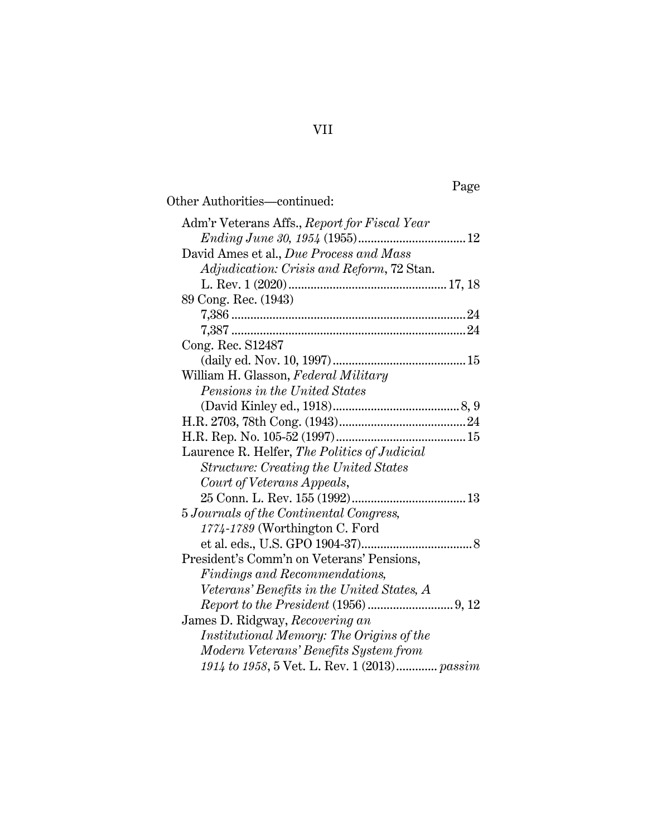# Page

| Adm'r Veterans Affs., Report for Fiscal Year |
|----------------------------------------------|
|                                              |
| David Ames et al., Due Process and Mass      |
| Adjudication: Crisis and Reform, 72 Stan.    |
|                                              |
| 89 Cong. Rec. (1943)                         |
|                                              |
|                                              |
| Cong. Rec. S12487                            |
|                                              |
| William H. Glasson, Federal Military         |
| <i>Pensions in the United States</i>         |
|                                              |
|                                              |
|                                              |
| Laurence R. Helfer, The Politics of Judicial |
| <b>Structure: Creating the United States</b> |
| Court of Veterans Appeals,                   |
|                                              |
| 5 Journals of the Continental Congress,      |
| 1774-1789 (Worthington C. Ford               |
|                                              |
| President's Comm'n on Veterans' Pensions,    |
| Findings and Recommendations,                |
| Veterans' Benefits in the United States, A   |
|                                              |
| James D. Ridgway, Recovering an              |
| Institutional Memory: The Origins of the     |
| Modern Veterans' Benefits System from        |
| 1914 to 1958, 5 Vet. L. Rev. 1 (2013) passim |

## VII

Other Authorities—continued: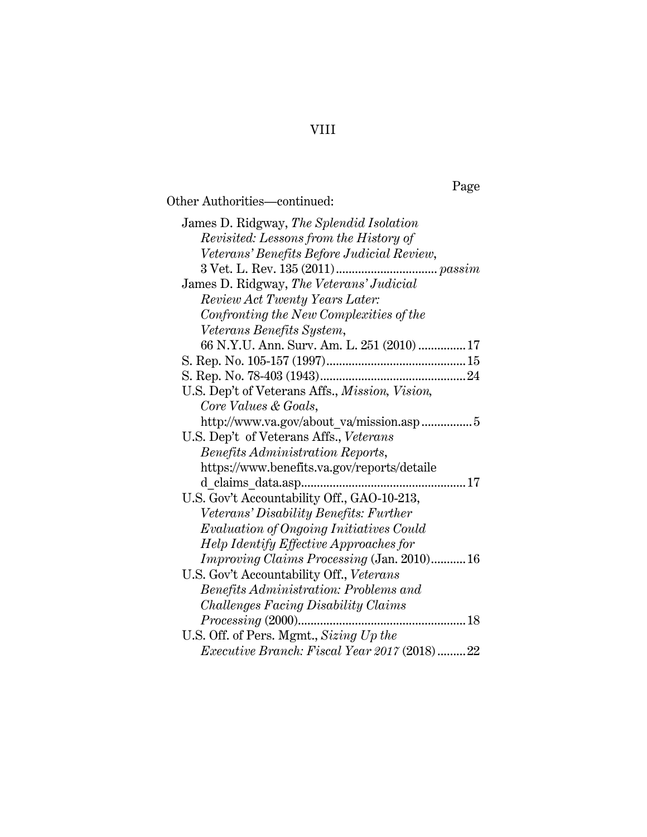# Page

Other Authorities—continued:

| James D. Ridgway, The Splendid Isolation          |  |  |
|---------------------------------------------------|--|--|
| Revisited: Lessons from the History of            |  |  |
| Veterans' Benefits Before Judicial Review,        |  |  |
|                                                   |  |  |
| James D. Ridgway, The Veterans' Judicial          |  |  |
| Review Act Twenty Years Later:                    |  |  |
| Confronting the New Complexities of the           |  |  |
| Veterans Benefits System,                         |  |  |
| 66 N.Y.U. Ann. Surv. Am. L. 251 (2010)  17        |  |  |
|                                                   |  |  |
|                                                   |  |  |
| U.S. Dep't of Veterans Affs., Mission, Vision,    |  |  |
| Core Values & Goals,                              |  |  |
| http://www.va.gov/about_va/mission.asp 5          |  |  |
| U.S. Dep't of Veterans Affs., Veterans            |  |  |
| Benefits Administration Reports,                  |  |  |
| https://www.benefits.va.gov/reports/detaile       |  |  |
|                                                   |  |  |
| U.S. Gov't Accountability Off., GAO-10-213,       |  |  |
| Veterans' Disability Benefits: Further            |  |  |
| Evaluation of Ongoing Initiatives Could           |  |  |
| Help Identify Effective Approaches for            |  |  |
| <i>Improving Claims Processing</i> (Jan. 2010) 16 |  |  |
| U.S. Gov't Accountability Off., Veterans          |  |  |
| Benefits Administration: Problems and             |  |  |
| <b>Challenges Facing Disability Claims</b>        |  |  |
| $Processing\ (2000)$<br>18                        |  |  |
| U.S. Off. of Pers. Mgmt., Sizing Up the           |  |  |
| Executive Branch: Fiscal Year 2017 (2018)22       |  |  |

VIII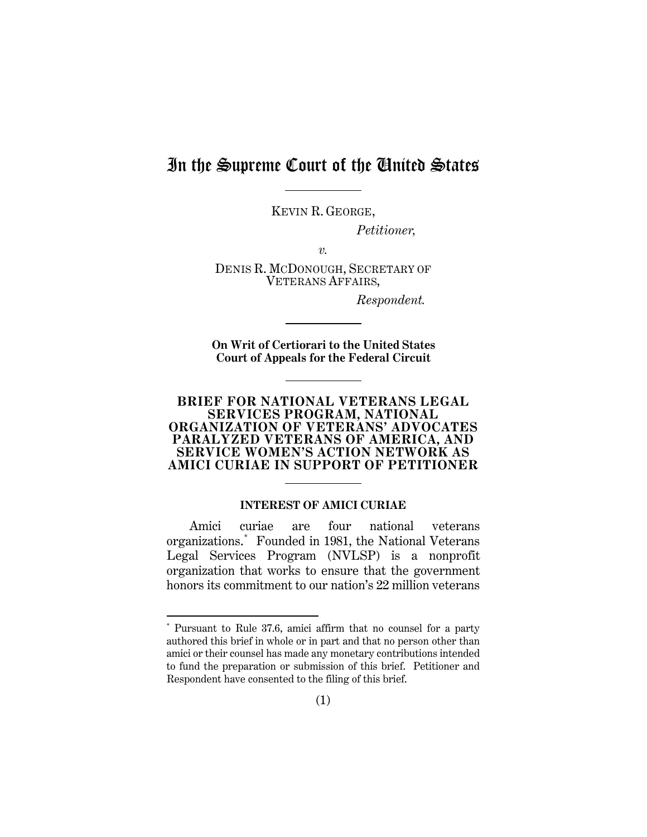## In the Supreme Court of the United States

KEVIN R. GEORGE,

*Petitioner,*

*v.*

DENIS R. MCDONOUGH, SECRETARY OF VETERANS AFFAIRS,

*Respondent.*

**On Writ of Certiorari to the United States Court of Appeals for the Federal Circuit**

#### **BRIEF FOR NATIONAL VETERANS LEGAL SERVICES PROGRAM, NATIONAL ORGANIZATION OF VETERANS' ADVOCATES PARALYZED VETERANS OF AMERICA, AND SERVICE WOMEN'S ACTION NETWORK AS AMICI CURIAE IN SUPPORT OF PETITIONER**

#### **INTEREST OF AMICI CURIAE**

<span id="page-10-0"></span>Amici curiae are four national veterans organizations.[\\*](#page-10-1) Founded in 1981, the National Veterans Legal Services Program (NVLSP) is a nonprofit organization that works to ensure that the government honors its commitment to our nation's 22 million veterans

 $\overline{a}$ 

<span id="page-10-1"></span><sup>\*</sup> Pursuant to Rule 37.6, amici affirm that no counsel for a party authored this brief in whole or in part and that no person other than amici or their counsel has made any monetary contributions intended to fund the preparation or submission of this brief. Petitioner and Respondent have consented to the filing of this brief.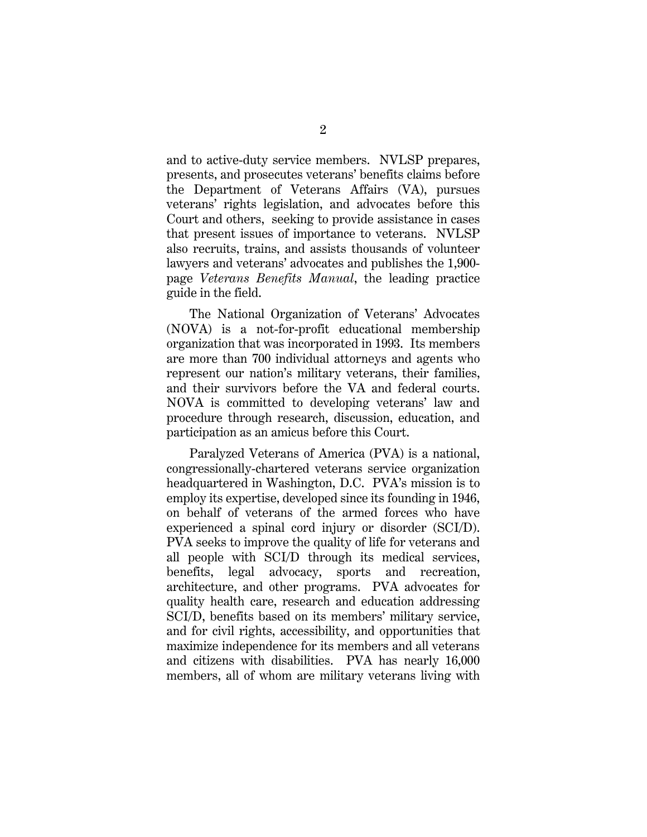and to active-duty service members. NVLSP prepares, presents, and prosecutes veterans' benefits claims before the Department of Veterans Affairs (VA), pursues veterans' rights legislation, and advocates before this Court and others, seeking to provide assistance in cases that present issues of importance to veterans. NVLSP also recruits, trains, and assists thousands of volunteer lawyers and veterans' advocates and publishes the 1,900 page *Veterans Benefits Manual*, the leading practice guide in the field.

The National Organization of Veterans' Advocates (NOVA) is a not-for-profit educational membership organization that was incorporated in 1993. Its members are more than 700 individual attorneys and agents who represent our nation's military veterans, their families, and their survivors before the VA and federal courts. NOVA is committed to developing veterans' law and procedure through research, discussion, education, and participation as an amicus before this Court.

Paralyzed Veterans of America (PVA) is a national, congressionally-chartered veterans service organization headquartered in Washington, D.C. PVA's mission is to employ its expertise, developed since its founding in 1946, on behalf of veterans of the armed forces who have experienced a spinal cord injury or disorder (SCI/D). PVA seeks to improve the quality of life for veterans and all people with SCI/D through its medical services, benefits, legal advocacy, sports and recreation, architecture, and other programs. PVA advocates for quality health care, research and education addressing SCI/D, benefits based on its members' military service, and for civil rights, accessibility, and opportunities that maximize independence for its members and all veterans and citizens with disabilities. PVA has nearly 16,000 members, all of whom are military veterans living with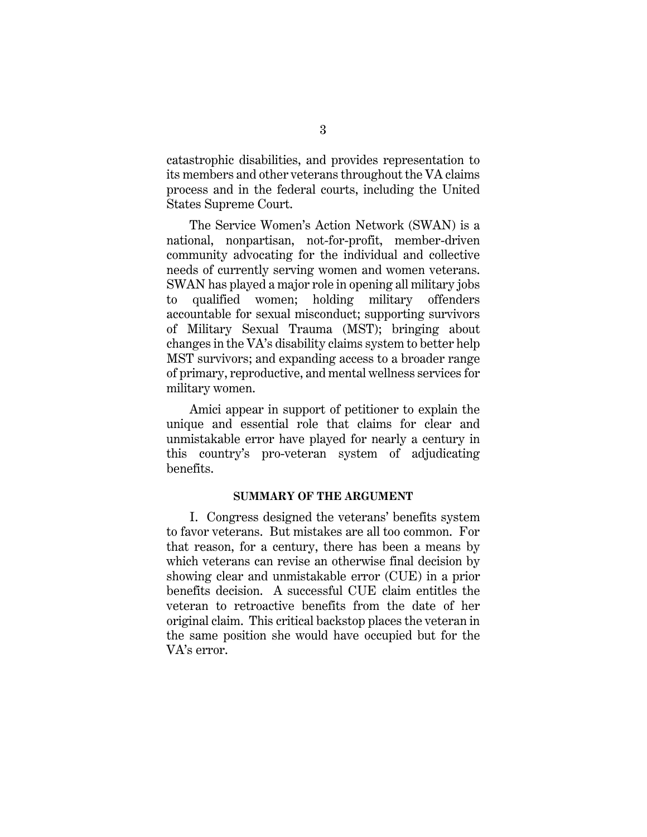catastrophic disabilities, and provides representation to its members and other veterans throughout the VA claims process and in the federal courts, including the United States Supreme Court.

The Service Women's Action Network (SWAN) is a national, nonpartisan, not-for-profit, member-driven community advocating for the individual and collective needs of currently serving women and women veterans. SWAN has played a major role in opening all military jobs to qualified women; holding military offenders accountable for sexual misconduct; supporting survivors of Military Sexual Trauma (MST); bringing about changes in the VA's disability claims system to better help MST survivors; and expanding access to a broader range of primary, reproductive, and mental wellness services for military women.

Amici appear in support of petitioner to explain the unique and essential role that claims for clear and unmistakable error have played for nearly a century in this country's pro-veteran system of adjudicating benefits.

#### **SUMMARY OF THE ARGUMENT**

<span id="page-12-0"></span>I. Congress designed the veterans' benefits system to favor veterans. But mistakes are all too common. For that reason, for a century, there has been a means by which veterans can revise an otherwise final decision by showing clear and unmistakable error (CUE) in a prior benefits decision. A successful CUE claim entitles the veteran to retroactive benefits from the date of her original claim. This critical backstop places the veteran in the same position she would have occupied but for the VA's error.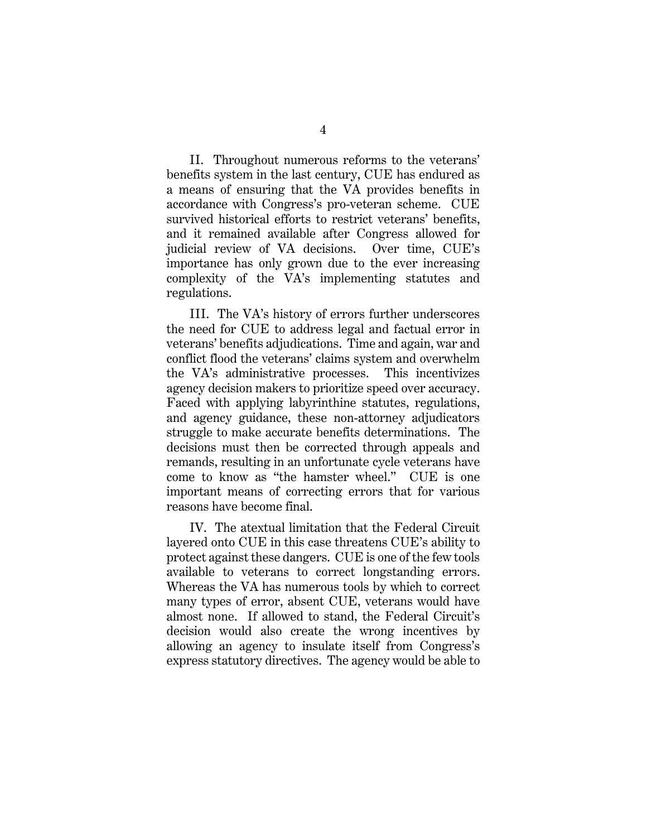II. Throughout numerous reforms to the veterans' benefits system in the last century, CUE has endured as a means of ensuring that the VA provides benefits in accordance with Congress's pro-veteran scheme. CUE survived historical efforts to restrict veterans' benefits, and it remained available after Congress allowed for judicial review of VA decisions. Over time, CUE's importance has only grown due to the ever increasing complexity of the VA's implementing statutes and regulations.

III. The VA's history of errors further underscores the need for CUE to address legal and factual error in veterans' benefits adjudications. Time and again, war and conflict flood the veterans' claims system and overwhelm the VA's administrative processes. This incentivizes agency decision makers to prioritize speed over accuracy. Faced with applying labyrinthine statutes, regulations, and agency guidance, these non-attorney adjudicators struggle to make accurate benefits determinations. The decisions must then be corrected through appeals and remands, resulting in an unfortunate cycle veterans have come to know as "the hamster wheel." CUE is one important means of correcting errors that for various reasons have become final.

IV. The atextual limitation that the Federal Circuit layered onto CUE in this case threatens CUE's ability to protect against these dangers. CUE is one of the few tools available to veterans to correct longstanding errors. Whereas the VA has numerous tools by which to correct many types of error, absent CUE, veterans would have almost none. If allowed to stand, the Federal Circuit's decision would also create the wrong incentives by allowing an agency to insulate itself from Congress's express statutory directives. The agency would be able to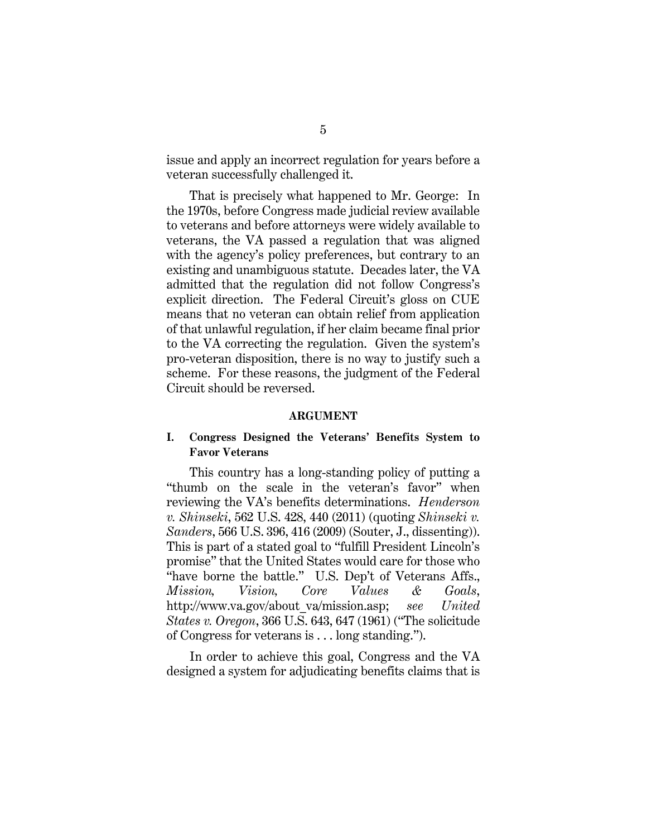issue and apply an incorrect regulation for years before a veteran successfully challenged it.

That is precisely what happened to Mr. George: In the 1970s, before Congress made judicial review available to veterans and before attorneys were widely available to veterans, the VA passed a regulation that was aligned with the agency's policy preferences, but contrary to an existing and unambiguous statute. Decades later, the VA admitted that the regulation did not follow Congress's explicit direction. The Federal Circuit's gloss on CUE means that no veteran can obtain relief from application of that unlawful regulation, if her claim became final prior to the VA correcting the regulation. Given the system's pro-veteran disposition, there is no way to justify such a scheme. For these reasons, the judgment of the Federal Circuit should be reversed.

#### <span id="page-14-5"></span><span id="page-14-4"></span><span id="page-14-3"></span><span id="page-14-2"></span>**ARGUMENT**

#### <span id="page-14-1"></span><span id="page-14-0"></span>**I. Congress Designed the Veterans' Benefits System to Favor Veterans**

This country has a long-standing policy of putting a "thumb on the scale in the veteran's favor" when reviewing the VA's benefits determinations. *Henderson v. Shinseki*, 562 U.S. 428, 440 (2011) (quoting *Shinseki v. Sanders*, 566 U.S. 396, 416 (2009) (Souter, J., dissenting)). This is part of a stated goal to "fulfill President Lincoln's promise" that the United States would care for those who "have borne the battle." U.S. Dep't of Veterans Affs., *Mission, Vision, Core Values & Goals*, http://www.va.gov/about\_va/mission.asp; *see United States v. Oregon*, 366 U.S. 643, 647 (1961) ("The solicitude of Congress for veterans is . . . long standing.").

In order to achieve this goal, Congress and the VA designed a system for adjudicating benefits claims that is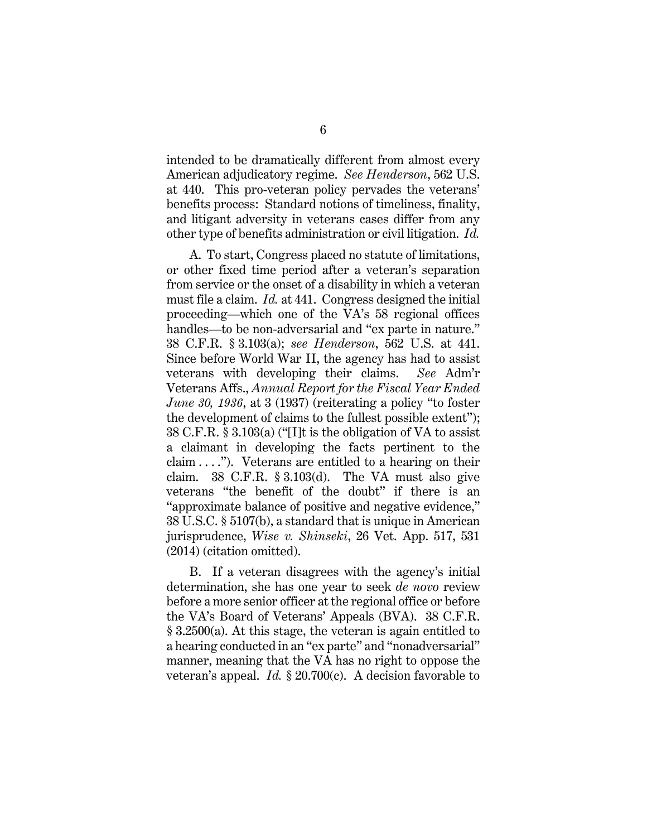<span id="page-15-0"></span>intended to be dramatically different from almost every American adjudicatory regime. *See Henderson*, 562 U.S. at 440. This pro-veteran policy pervades the veterans' benefits process: Standard notions of timeliness, finality, and litigant adversity in veterans cases differ from any other type of benefits administration or civil litigation. *Id.*

<span id="page-15-6"></span><span id="page-15-3"></span>A. To start, Congress placed no statute of limitations, or other fixed time period after a veteran's separation from service or the onset of a disability in which a veteran must file a claim. *Id.* at 441. Congress designed the initial proceeding—which one of the VA's 58 regional offices handles—to be non-adversarial and "ex parte in nature." 38 C.F.R. § 3.103(a); *see Henderson*, 562 U.S. at 441. Since before World War II, the agency has had to assist veterans with developing their claims. *See* Adm'r Veterans Affs., *Annual Report for the Fiscal Year Ended June 30, 1936*, at 3 (1937) (reiterating a policy "to foster the development of claims to the fullest possible extent"); 38 C.F.R. § 3.103(a) ("[I]t is the obligation of VA to assist a claimant in developing the facts pertinent to the claim  $\dots$ "). Veterans are entitled to a hearing on their claim. 38 C.F.R. § 3.103(d). The VA must also give veterans "the benefit of the doubt" if there is an "approximate balance of positive and negative evidence," 38 U.S.C. § 5107(b), a standard that is unique in American jurisprudence, *Wise v. Shinseki*, 26 Vet. App. 517, 531 (2014) (citation omitted).

<span id="page-15-5"></span><span id="page-15-4"></span><span id="page-15-2"></span><span id="page-15-1"></span>B. If a veteran disagrees with the agency's initial determination, she has one year to seek *de novo* review before a more senior officer at the regional office or before the VA's Board of Veterans' Appeals (BVA). 38 C.F.R.  $\S 3.2500(a)$ . At this stage, the veteran is again entitled to a hearing conducted in an "ex parte" and "nonadversarial" manner, meaning that the VA has no right to oppose the veteran's appeal. *Id.* § 20.700(c). A decision favorable to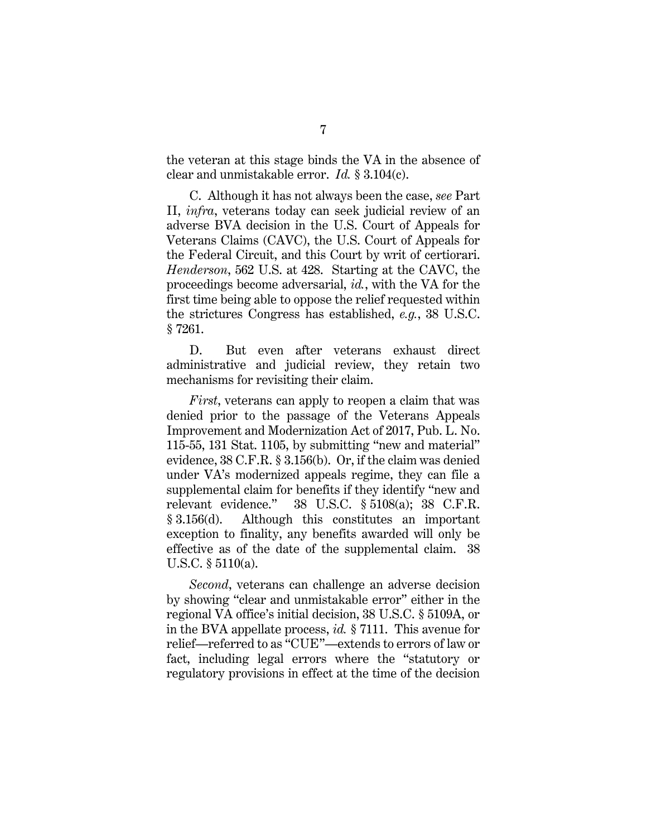<span id="page-16-7"></span>the veteran at this stage binds the VA in the absence of clear and unmistakable error. *Id.* § 3.104(c).

<span id="page-16-0"></span>C. Although it has not always been the case, *see* Part II, *infra*, veterans today can seek judicial review of an adverse BVA decision in the U.S. Court of Appeals for Veterans Claims (CAVC), the U.S. Court of Appeals for the Federal Circuit, and this Court by writ of certiorari. *Henderson*, 562 U.S. at 428. Starting at the CAVC, the proceedings become adversarial, *id.*, with the VA for the first time being able to oppose the relief requested within the strictures Congress has established, *e.g.*, 38 U.S.C. § 7261.

<span id="page-16-5"></span>D. But even after veterans exhaust direct administrative and judicial review, they retain two mechanisms for revisiting their claim.

<span id="page-16-8"></span><span id="page-16-6"></span>*First*, veterans can apply to reopen a claim that was denied prior to the passage of the Veterans Appeals Improvement and Modernization Act of 2017, Pub. L. No. 115-55, 131 Stat. 1105, by submitting "new and material" evidence, 38 C.F.R. § 3.156(b). Or, if the claim was denied under VA's modernized appeals regime, they can file a supplemental claim for benefits if they identify "new and relevant evidence." 38 U.S.C. § 5108(a); 38 C.F.R. § 3.156(d). Although this constitutes an important exception to finality, any benefits awarded will only be effective as of the date of the supplemental claim. 38 U.S.C. § 5110(a).

<span id="page-16-4"></span><span id="page-16-3"></span><span id="page-16-2"></span><span id="page-16-1"></span>*Second*, veterans can challenge an adverse decision by showing "clear and unmistakable error" either in the regional VA office's initial decision, 38 U.S.C. § 5109A, or in the BVA appellate process, *id.* § 7111. This avenue for relief—referred to as "CUE"—extends to errors of law or fact, including legal errors where the "statutory or regulatory provisions in effect at the time of the decision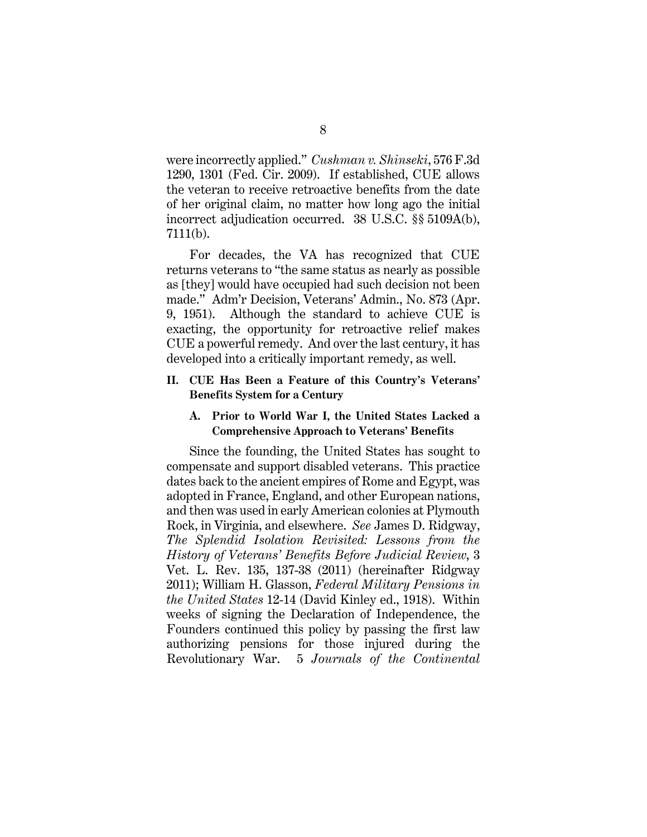<span id="page-17-2"></span>were incorrectly applied." *Cushman v. Shinseki*, 576 F.3d 1290, 1301 (Fed. Cir. 2009). If established, CUE allows the veteran to receive retroactive benefits from the date of her original claim, no matter how long ago the initial incorrect adjudication occurred. 38 U.S.C. §§ 5109A(b), 7111(b).

<span id="page-17-3"></span>For decades, the VA has recognized that CUE returns veterans to "the same status as nearly as possible as [they] would have occupied had such decision not been made." Adm'r Decision, Veterans' Admin., No. 873 (Apr. 9, 1951). Although the standard to achieve CUE is exacting, the opportunity for retroactive relief makes CUE a powerful remedy. And over the last century, it has developed into a critically important remedy, as well.

#### <span id="page-17-0"></span>**II. CUE Has Been a Feature of this Country's Veterans' Benefits System for a Century**

#### <span id="page-17-6"></span><span id="page-17-1"></span>**A. Prior to World War I, the United States Lacked a Comprehensive Approach to Veterans' Benefits**

<span id="page-17-5"></span><span id="page-17-4"></span>Since the founding, the United States has sought to compensate and support disabled veterans. This practice dates back to the ancient empires of Rome and Egypt, was adopted in France, England, and other European nations, and then was used in early American colonies at Plymouth Rock, in Virginia, and elsewhere. *See* James D. Ridgway, *The Splendid Isolation Revisited: Lessons from the History of Veterans' Benefits Before Judicial Review*, 3 Vet. L. Rev. 135, 137-38 (2011) (hereinafter Ridgway 2011); William H. Glasson, *Federal Military Pensions in the United States* 12-14 (David Kinley ed., 1918). Within weeks of signing the Declaration of Independence, the Founders continued this policy by passing the first law authorizing pensions for those injured during the Revolutionary War. 5 *Journals of the Continental*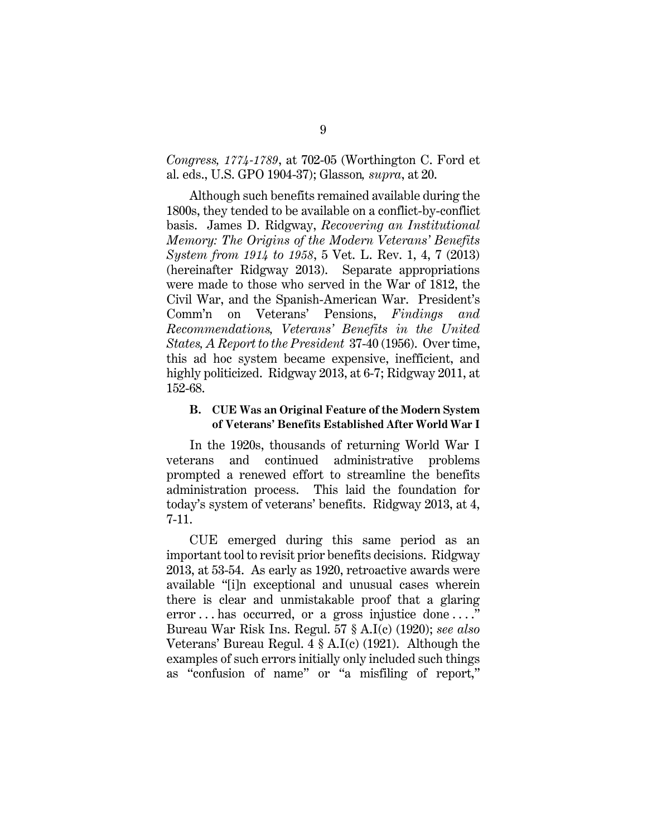*Congress, 1774-1789*, at 702-05 (Worthington C. Ford et al. eds., U.S. GPO 1904-37); Glasson*, supra*, at 20.

<span id="page-18-4"></span>Although such benefits remained available during the 1800s, they tended to be available on a conflict-by-conflict basis. James D. Ridgway, *Recovering an Institutional Memory: The Origins of the Modern Veterans' Benefits System from 1914 to 1958*, 5 Vet. L. Rev. 1, 4, 7 (2013) (hereinafter Ridgway 2013). Separate appropriations were made to those who served in the War of 1812, the Civil War, and the Spanish-American War. President's Comm'n on Veterans' Pensions, *Findings and Recommendations, Veterans' Benefits in the United States, A Report to the President* 37-40 (1956). Over time, this ad hoc system became expensive, inefficient, and highly politicized. Ridgway 2013, at 6-7; Ridgway 2011, at 152-68.

#### <span id="page-18-3"></span><span id="page-18-0"></span>**B. CUE Was an Original Feature of the Modern System of Veterans' Benefits Established After World War I**

In the 1920s, thousands of returning World War I veterans and continued administrative problems prompted a renewed effort to streamline the benefits administration process. This laid the foundation for today's system of veterans' benefits. Ridgway 2013, at 4, 7-11.

<span id="page-18-2"></span><span id="page-18-1"></span>CUE emerged during this same period as an important tool to revisit prior benefits decisions. Ridgway 2013, at 53-54. As early as 1920, retroactive awards were available "[i]n exceptional and unusual cases wherein there is clear and unmistakable proof that a glaring error ... has occurred, or a gross injustice done ....' Bureau War Risk Ins. Regul. 57 § A.I(c) (1920); *see also* Veterans' Bureau Regul.  $4 \S$  A.I(c) (1921). Although the examples of such errors initially only included such things as "confusion of name" or "a misfiling of report,"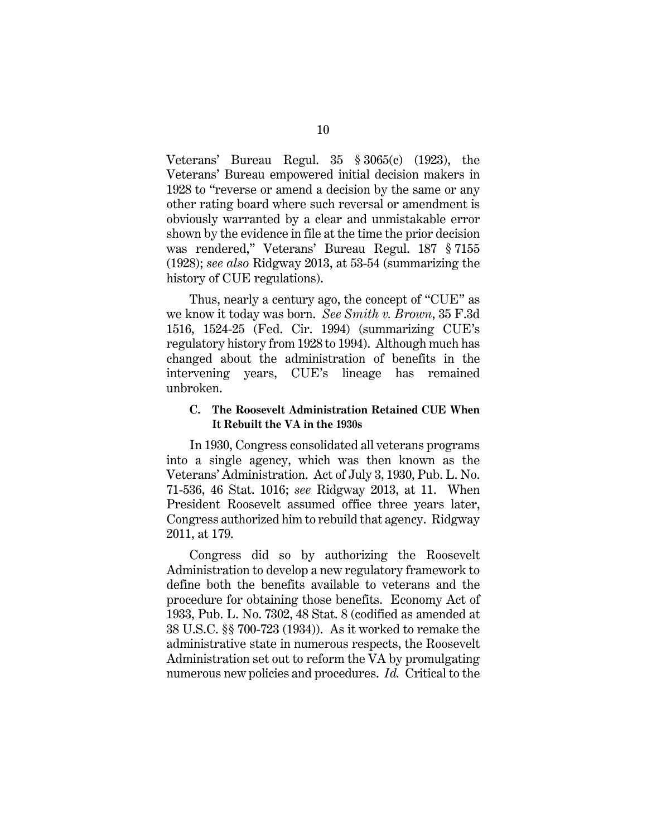Veterans' Bureau Regul. 35 § 3065(c) (1923), the Veterans' Bureau empowered initial decision makers in 1928 to "reverse or amend a decision by the same or any other rating board where such reversal or amendment is obviously warranted by a clear and unmistakable error shown by the evidence in file at the time the prior decision was rendered," Veterans' Bureau Regul. 187 § 7155 (1928); *see also* Ridgway 2013, at 53-54 (summarizing the history of CUE regulations).

<span id="page-19-4"></span><span id="page-19-1"></span>Thus, nearly a century ago, the concept of "CUE" as we know it today was born. *See Smith v. Brown*, 35 F.3d 1516, 1524-25 (Fed. Cir. 1994) (summarizing CUE's regulatory history from 1928 to 1994). Although much has changed about the administration of benefits in the intervening years, CUE's lineage has remained unbroken.

#### <span id="page-19-0"></span>**C. The Roosevelt Administration Retained CUE When It Rebuilt the VA in the 1930s**

<span id="page-19-2"></span>In 1930, Congress consolidated all veterans programs into a single agency, which was then known as the Veterans' Administration. Act of July 3, 1930, Pub. L. No. 71-536, 46 Stat. 1016; *see* Ridgway 2013, at 11. When President Roosevelt assumed office three years later, Congress authorized him to rebuild that agency. Ridgway 2011, at 179.

<span id="page-19-3"></span>Congress did so by authorizing the Roosevelt Administration to develop a new regulatory framework to define both the benefits available to veterans and the procedure for obtaining those benefits. Economy Act of 1933, Pub. L. No. 7302, 48 Stat. 8 (codified as amended at 38 U.S.C. §§ 700-723 (1934)). As it worked to remake the administrative state in numerous respects, the Roosevelt Administration set out to reform the VA by promulgating numerous new policies and procedures. *Id.* Critical to the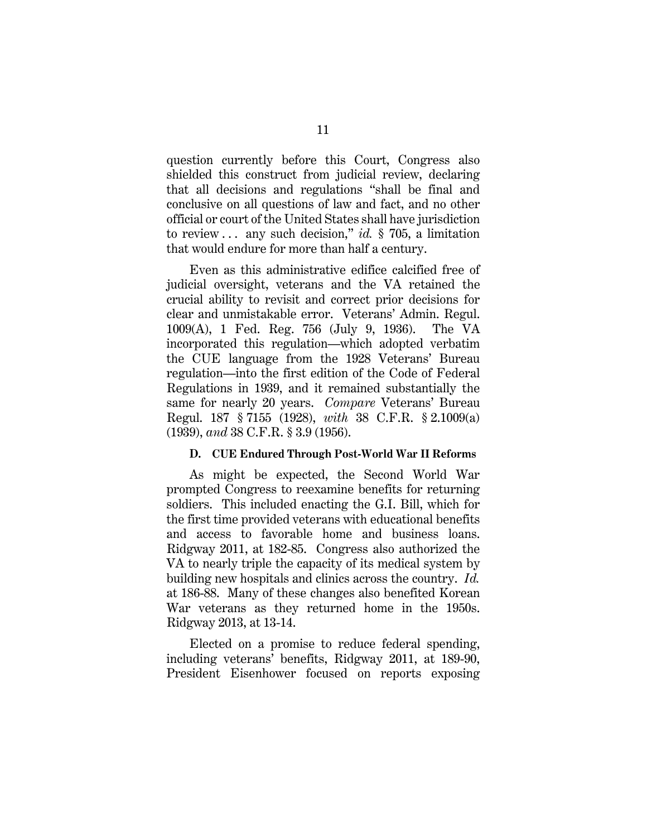question currently before this Court, Congress also shielded this construct from judicial review, declaring that all decisions and regulations "shall be final and conclusive on all questions of law and fact, and no other official or court of the United States shall have jurisdiction to review . . . any such decision," *id.* § 705, a limitation that would endure for more than half a century.

<span id="page-20-4"></span><span id="page-20-1"></span>Even as this administrative edifice calcified free of judicial oversight, veterans and the VA retained the crucial ability to revisit and correct prior decisions for clear and unmistakable error. Veterans' Admin. Regul. 1009(A), 1 Fed. Reg. 756 (July 9, 1936). The VA incorporated this regulation—which adopted verbatim the CUE language from the 1928 Veterans' Bureau regulation—into the first edition of the Code of Federal Regulations in 1939, and it remained substantially the same for nearly 20 years. *Compare* Veterans' Bureau Regul. 187 § 7155 (1928), *with* 38 C.F.R. § 2.1009(a) (1939), *and* 38 C.F.R. § 3.9 (1956).

#### <span id="page-20-5"></span><span id="page-20-3"></span><span id="page-20-2"></span>**D. CUE Endured Through Post-World War II Reforms**

<span id="page-20-0"></span>As might be expected, the Second World War prompted Congress to reexamine benefits for returning soldiers. This included enacting the G.I. Bill, which for the first time provided veterans with educational benefits and access to favorable home and business loans. Ridgway 2011, at 182-85. Congress also authorized the VA to nearly triple the capacity of its medical system by building new hospitals and clinics across the country. *Id.* at 186-88. Many of these changes also benefited Korean War veterans as they returned home in the 1950s. Ridgway 2013, at 13-14.

Elected on a promise to reduce federal spending, including veterans' benefits, Ridgway 2011, at 189-90, President Eisenhower focused on reports exposing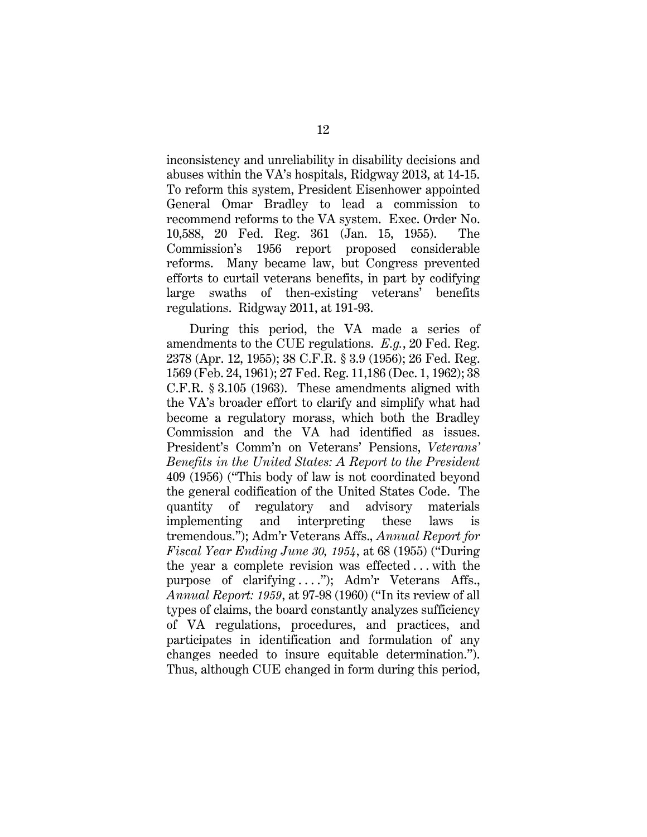<span id="page-21-5"></span>inconsistency and unreliability in disability decisions and abuses within the VA's hospitals, Ridgway 2013, at 14-15. To reform this system, President Eisenhower appointed General Omar Bradley to lead a commission to recommend reforms to the VA system. Exec. Order No. 10,588, 20 Fed. Reg. 361 (Jan. 15, 1955). The Commission's 1956 report proposed considerable reforms. Many became law, but Congress prevented efforts to curtail veterans benefits, in part by codifying large swaths of then-existing veterans' benefits regulations. Ridgway 2011, at 191-93.

<span id="page-21-7"></span><span id="page-21-6"></span><span id="page-21-4"></span><span id="page-21-3"></span><span id="page-21-2"></span><span id="page-21-1"></span><span id="page-21-0"></span>During this period, the VA made a series of amendments to the CUE regulations. *E.g.*, 20 Fed. Reg. 2378 (Apr. 12, 1955); 38 C.F.R. § 3.9 (1956); 26 Fed. Reg. 1569 (Feb. 24, 1961); 27 Fed. Reg. 11,186 (Dec. 1, 1962); 38 C.F.R. § 3.105 (1963). These amendments aligned with the VA's broader effort to clarify and simplify what had become a regulatory morass, which both the Bradley Commission and the VA had identified as issues. President's Comm'n on Veterans' Pensions, *Veterans' Benefits in the United States: A Report to the President* 409 (1956) ("This body of law is not coordinated beyond the general codification of the United States Code. The quantity of regulatory and advisory materials implementing and interpreting these laws is tremendous."); Adm'r Veterans Affs., *Annual Report for Fiscal Year Ending June 30, 1954*, at 68 (1955) ("During the year a complete revision was effected . . . with the purpose of clarifying ...."); Adm'r Veterans Affs., *Annual Report: 1959*, at 97-98 (1960) ("In its review of all types of claims, the board constantly analyzes sufficiency of VA regulations, procedures, and practices, and participates in identification and formulation of any changes needed to insure equitable determination."). Thus, although CUE changed in form during this period,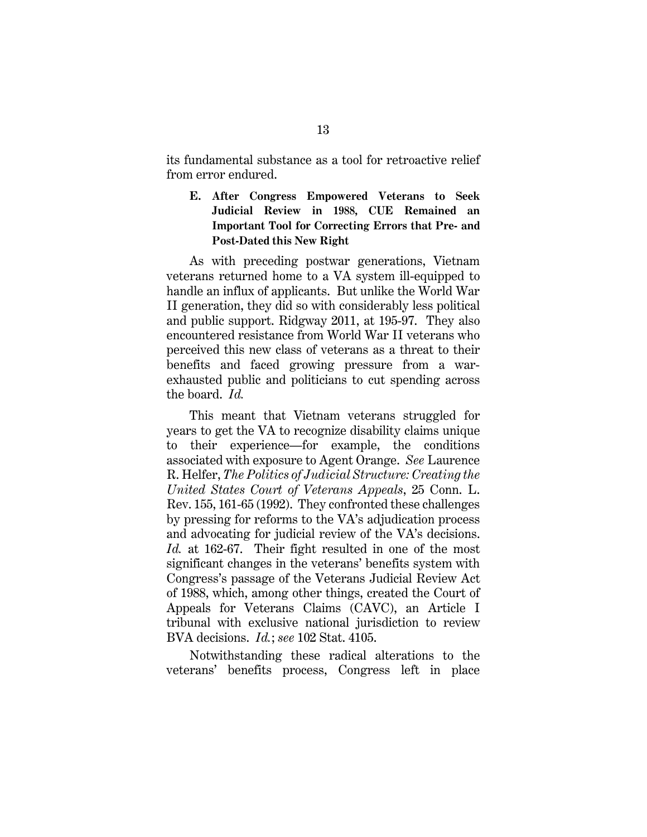its fundamental substance as a tool for retroactive relief from error endured.

### <span id="page-22-0"></span>**E. After Congress Empowered Veterans to Seek Judicial Review in 1988, CUE Remained an Important Tool for Correcting Errors that Pre- and Post-Dated this New Right**

As with preceding postwar generations, Vietnam veterans returned home to a VA system ill-equipped to handle an influx of applicants. But unlike the World War II generation, they did so with considerably less political and public support. Ridgway 2011, at 195-97. They also encountered resistance from World War II veterans who perceived this new class of veterans as a threat to their benefits and faced growing pressure from a warexhausted public and politicians to cut spending across the board. *Id.*

<span id="page-22-2"></span>This meant that Vietnam veterans struggled for years to get the VA to recognize disability claims unique to their experience—for example, the conditions associated with exposure to Agent Orange. *See* Laurence R. Helfer, *The Politics of Judicial Structure: Creating the United States Court of Veterans Appeals*, 25 Conn. L. Rev. 155, 161-65 (1992). They confronted these challenges by pressing for reforms to the VA's adjudication process and advocating for judicial review of the VA's decisions. *Id.* at 162-67. Their fight resulted in one of the most significant changes in the veterans' benefits system with Congress's passage of the Veterans Judicial Review Act of 1988, which, among other things, created the Court of Appeals for Veterans Claims (CAVC), an Article I tribunal with exclusive national jurisdiction to review BVA decisions. *Id.*; *see* 102 Stat. 4105.

<span id="page-22-1"></span>Notwithstanding these radical alterations to the veterans' benefits process, Congress left in place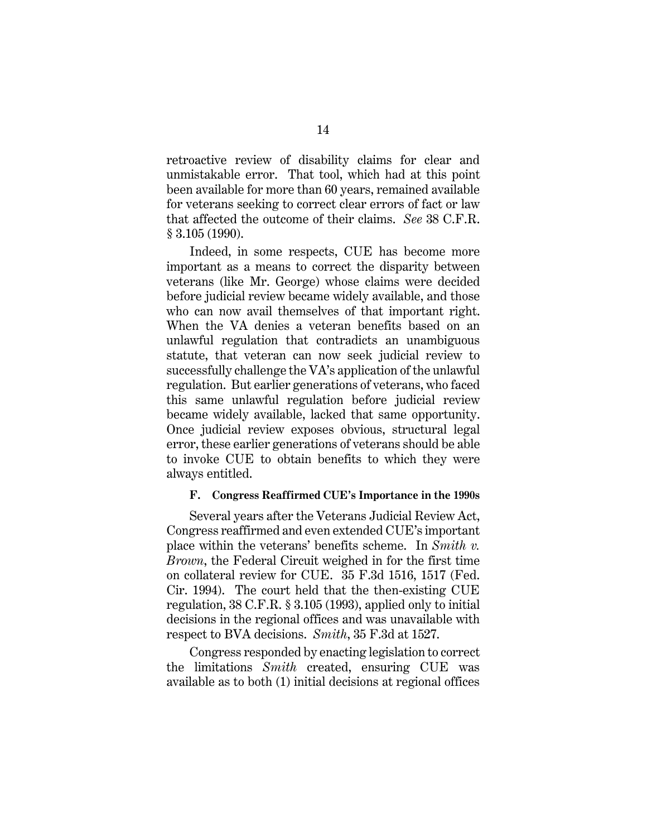retroactive review of disability claims for clear and unmistakable error. That tool, which had at this point been available for more than 60 years, remained available for veterans seeking to correct clear errors of fact or law that affected the outcome of their claims. *See* 38 C.F.R. § 3.105 (1990).

Indeed, in some respects, CUE has become more important as a means to correct the disparity between veterans (like Mr. George) whose claims were decided before judicial review became widely available, and those who can now avail themselves of that important right. When the VA denies a veteran benefits based on an unlawful regulation that contradicts an unambiguous statute, that veteran can now seek judicial review to successfully challenge the VA's application of the unlawful regulation. But earlier generations of veterans, who faced this same unlawful regulation before judicial review became widely available, lacked that same opportunity. Once judicial review exposes obvious, structural legal error, these earlier generations of veterans should be able to invoke CUE to obtain benefits to which they were always entitled.

#### <span id="page-23-1"></span><span id="page-23-0"></span>**F. Congress Reaffirmed CUE's Importance in the 1990s**

Several years after the Veterans Judicial Review Act, Congress reaffirmed and even extended CUE's important place within the veterans' benefits scheme. In *Smith v. Brown*, the Federal Circuit weighed in for the first time on collateral review for CUE. 35 F.3d 1516, 1517 (Fed. Cir. 1994). The court held that the then-existing CUE regulation, 38 C.F.R. § 3.105 (1993), applied only to initial decisions in the regional offices and was unavailable with respect to BVA decisions. *Smith*, 35 F.3d at 1527.

Congress responded by enacting legislation to correct the limitations *Smith* created, ensuring CUE was available as to both (1) initial decisions at regional offices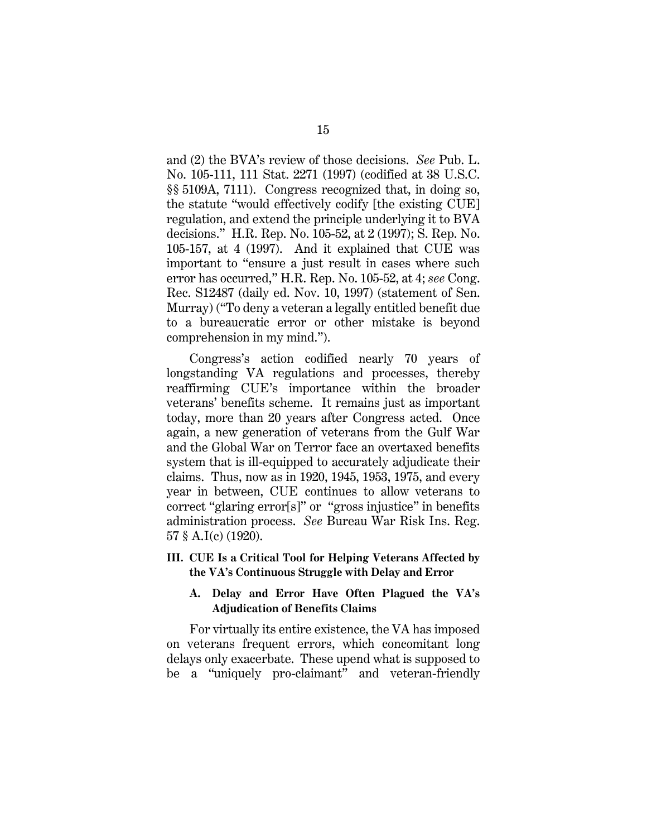<span id="page-24-5"></span><span id="page-24-4"></span><span id="page-24-2"></span>and (2) the BVA's review of those decisions. *See* Pub. L. No. 105-111, 111 Stat. 2271 (1997) (codified at 38 U.S.C. §§ 5109A, 7111). Congress recognized that, in doing so, the statute "would effectively codify [the existing CUE] regulation, and extend the principle underlying it to BVA decisions." H.R. Rep. No. 105-52, at 2 (1997); S. Rep. No. 105-157, at 4 (1997). And it explained that CUE was important to "ensure a just result in cases where such error has occurred," H.R. Rep. No. 105-52, at 4; *see* Cong. Rec. S12487 (daily ed. Nov. 10, 1997) (statement of Sen. Murray) ("To deny a veteran a legally entitled benefit due to a bureaucratic error or other mistake is beyond comprehension in my mind.").

<span id="page-24-3"></span>Congress's action codified nearly 70 years of longstanding VA regulations and processes, thereby reaffirming CUE's importance within the broader veterans' benefits scheme. It remains just as important today, more than 20 years after Congress acted. Once again, a new generation of veterans from the Gulf War and the Global War on Terror face an overtaxed benefits system that is ill-equipped to accurately adjudicate their claims. Thus, now as in 1920, 1945, 1953, 1975, and every year in between, CUE continues to allow veterans to correct "glaring error[s]" or "gross injustice" in benefits administration process. *See* Bureau War Risk Ins. Reg. 57 § A.I(c) (1920).

<span id="page-24-0"></span>**III. CUE Is a Critical Tool for Helping Veterans Affected by the VA's Continuous Struggle with Delay and Error**

### <span id="page-24-1"></span>**A. Delay and Error Have Often Plagued the VA's Adjudication of Benefits Claims**

For virtually its entire existence, the VA has imposed on veterans frequent errors, which concomitant long delays only exacerbate. These upend what is supposed to be a "uniquely pro-claimant" and veteran-friendly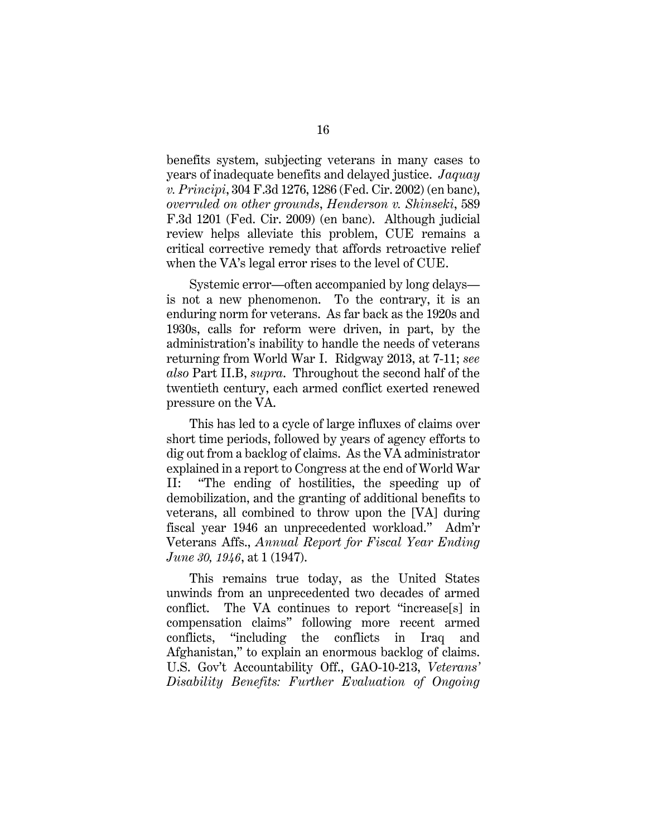<span id="page-25-0"></span>benefits system, subjecting veterans in many cases to years of inadequate benefits and delayed justice. *Jaquay v. Principi*, 304 F.3d 1276, 1286 (Fed. Cir. 2002) (en banc), *overruled on other grounds*, *Henderson v. Shinseki*, 589 F.3d 1201 (Fed. Cir. 2009) (en banc). Although judicial review helps alleviate this problem, CUE remains a critical corrective remedy that affords retroactive relief when the VA's legal error rises to the level of CUE.

Systemic error—often accompanied by long delays is not a new phenomenon. To the contrary, it is an enduring norm for veterans. As far back as the 1920s and 1930s, calls for reform were driven, in part, by the administration's inability to handle the needs of veterans returning from World War I. Ridgway 2013, at 7-11; *see also* Part II.B, *supra*. Throughout the second half of the twentieth century, each armed conflict exerted renewed pressure on the VA.

This has led to a cycle of large influxes of claims over short time periods, followed by years of agency efforts to dig out from a backlog of claims. As the VA administrator explained in a report to Congress at the end of World War II: "The ending of hostilities, the speeding up of demobilization, and the granting of additional benefits to veterans, all combined to throw upon the [VA] during fiscal year 1946 an unprecedented workload." Adm'r Veterans Affs., *Annual Report for Fiscal Year Ending June 30, 1946*, at 1 (1947).

<span id="page-25-2"></span><span id="page-25-1"></span>This remains true today, as the United States unwinds from an unprecedented two decades of armed conflict. The VA continues to report "increase[s] in compensation claims" following more recent armed conflicts, "including the conflicts in Iraq and Afghanistan," to explain an enormous backlog of claims. U.S. Gov't Accountability Off., GAO-10-213, *Veterans' Disability Benefits: Further Evaluation of Ongoing*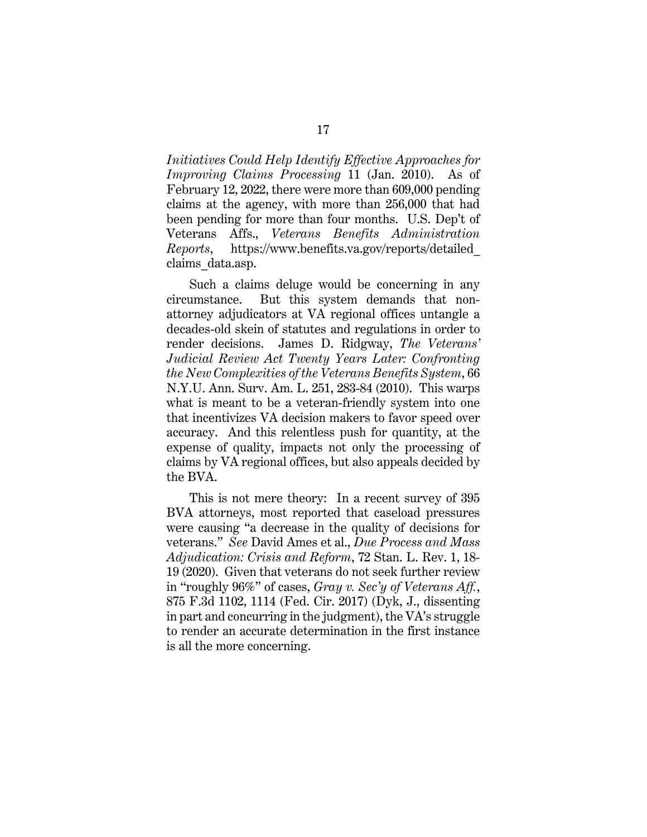*Initiatives Could Help Identify Effective Approaches for Improving Claims Processing* 11 (Jan. 2010). As of February 12, 2022, there were more than 609,000 pending claims at the agency, with more than 256,000 that had been pending for more than four months. U.S. Dep't of Veterans Affs., *Veterans Benefits Administration Reports*, [https://www.benefits.va.gov/reports/detailed\\_](https://www.benefits.va.gov/reports/detailed_claims_data.asp) [claims\\_data.asp.](https://www.benefits.va.gov/reports/detailed_claims_data.asp)

<span id="page-26-3"></span><span id="page-26-2"></span>Such a claims deluge would be concerning in any circumstance. But this system demands that nonattorney adjudicators at VA regional offices untangle a decades-old skein of statutes and regulations in order to render decisions. James D. Ridgway, *The Veterans' Judicial Review Act Twenty Years Later: Confronting the New Complexities of the Veterans Benefits System*, 66 N.Y.U. Ann. Surv. Am. L. 251, 283-84 (2010). This warps what is meant to be a veteran-friendly system into one that incentivizes VA decision makers to favor speed over accuracy. And this relentless push for quantity, at the expense of quality, impacts not only the processing of claims by VA regional offices, but also appeals decided by the BVA.

<span id="page-26-1"></span><span id="page-26-0"></span>This is not mere theory: In a recent survey of 395 BVA attorneys, most reported that caseload pressures were causing "a decrease in the quality of decisions for veterans." *See* David Ames et al., *Due Process and Mass Adjudication: Crisis and Reform*, 72 Stan. L. Rev. 1, 18- 19 (2020). Given that veterans do not seek further review in "roughly 96%" of cases, *Gray v. Sec'y of Veterans Aff.*, 875 F.3d 1102, 1114 (Fed. Cir. 2017) (Dyk, J., dissenting in part and concurring in the judgment), the VA's struggle to render an accurate determination in the first instance is all the more concerning.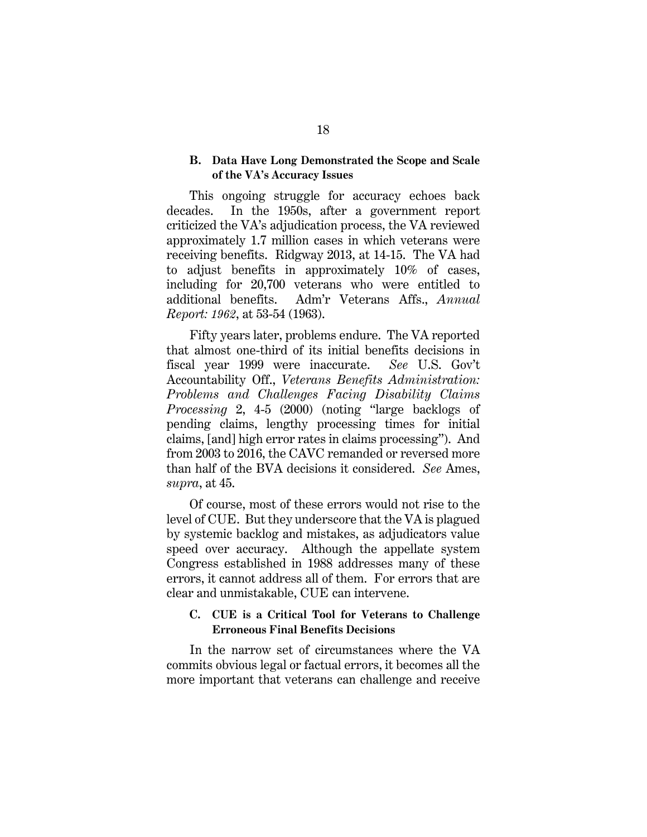#### <span id="page-27-0"></span>**B. Data Have Long Demonstrated the Scope and Scale of the VA's Accuracy Issues**

This ongoing struggle for accuracy echoes back decades. In the 1950s, after a government report criticized the VA's adjudication process, the VA reviewed approximately 1.7 million cases in which veterans were receiving benefits. Ridgway 2013, at 14-15. The VA had to adjust benefits in approximately 10% of cases, including for 20,700 veterans who were entitled to additional benefits. Adm'r Veterans Affs., *Annual Report: 1962*, at 53-54 (1963).

<span id="page-27-3"></span><span id="page-27-2"></span>Fifty years later, problems endure. The VA reported that almost one-third of its initial benefits decisions in fiscal year 1999 were inaccurate. *See* U.S. Gov't Accountability Off., *Veterans Benefits Administration: Problems and Challenges Facing Disability Claims Processing* 2, 4-5 (2000) (noting "large backlogs of pending claims, lengthy processing times for initial claims, [and] high error rates in claims processing"). And from 2003 to 2016, the CAVC remanded or reversed more than half of the BVA decisions it considered. *See* Ames, *supra*, at 45.

Of course, most of these errors would not rise to the level of CUE. But they underscore that the VA is plagued by systemic backlog and mistakes, as adjudicators value speed over accuracy. Although the appellate system Congress established in 1988 addresses many of these errors, it cannot address all of them. For errors that are clear and unmistakable, CUE can intervene.

### <span id="page-27-1"></span>**C. CUE is a Critical Tool for Veterans to Challenge Erroneous Final Benefits Decisions**

In the narrow set of circumstances where the VA commits obvious legal or factual errors, it becomes all the more important that veterans can challenge and receive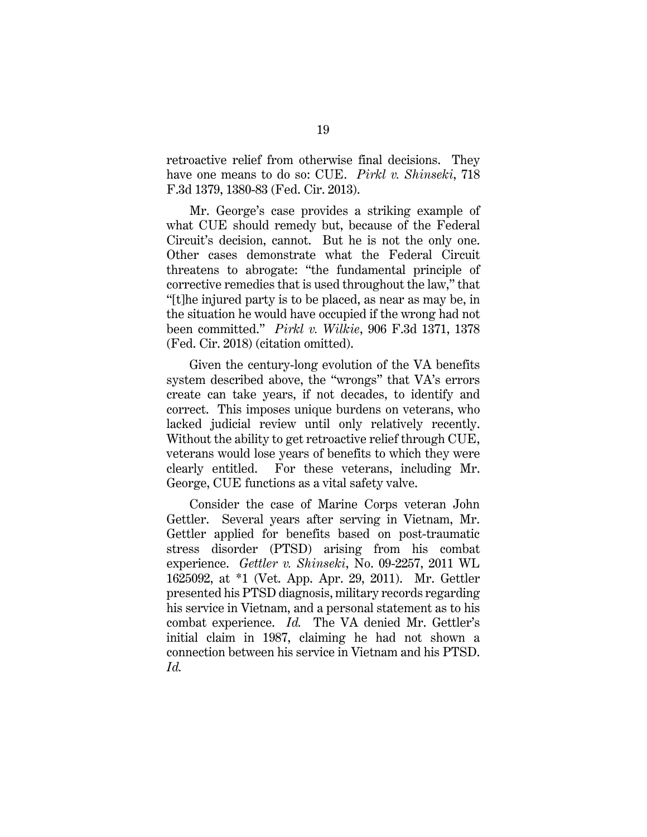<span id="page-28-1"></span>retroactive relief from otherwise final decisions. They have one means to do so: CUE. *Pirkl v. Shinseki*, 718 F.3d 1379, 1380-83 (Fed. Cir. 2013).

Mr. George's case provides a striking example of what CUE should remedy but, because of the Federal Circuit's decision, cannot. But he is not the only one. Other cases demonstrate what the Federal Circuit threatens to abrogate: "the fundamental principle of corrective remedies that is used throughout the law," that "[t]he injured party is to be placed, as near as may be, in the situation he would have occupied if the wrong had not been committed." *Pirkl v. Wilkie*, 906 F.3d 1371, 1378 (Fed. Cir. 2018) (citation omitted).

<span id="page-28-2"></span>Given the century-long evolution of the VA benefits system described above, the "wrongs" that VA's errors create can take years, if not decades, to identify and correct. This imposes unique burdens on veterans, who lacked judicial review until only relatively recently. Without the ability to get retroactive relief through CUE, veterans would lose years of benefits to which they were clearly entitled. For these veterans, including Mr. George, CUE functions as a vital safety valve.

<span id="page-28-0"></span>Consider the case of Marine Corps veteran John Gettler. Several years after serving in Vietnam, Mr. Gettler applied for benefits based on post-traumatic stress disorder (PTSD) arising from his combat experience. *Gettler v. Shinseki*, No. 09-2257, 2011 WL 1625092, at \*1 (Vet. App. Apr. 29, 2011). Mr. Gettler presented his PTSD diagnosis, military records regarding his service in Vietnam, and a personal statement as to his combat experience. *Id.* The VA denied Mr. Gettler's initial claim in 1987, claiming he had not shown a connection between his service in Vietnam and his PTSD. *Id.*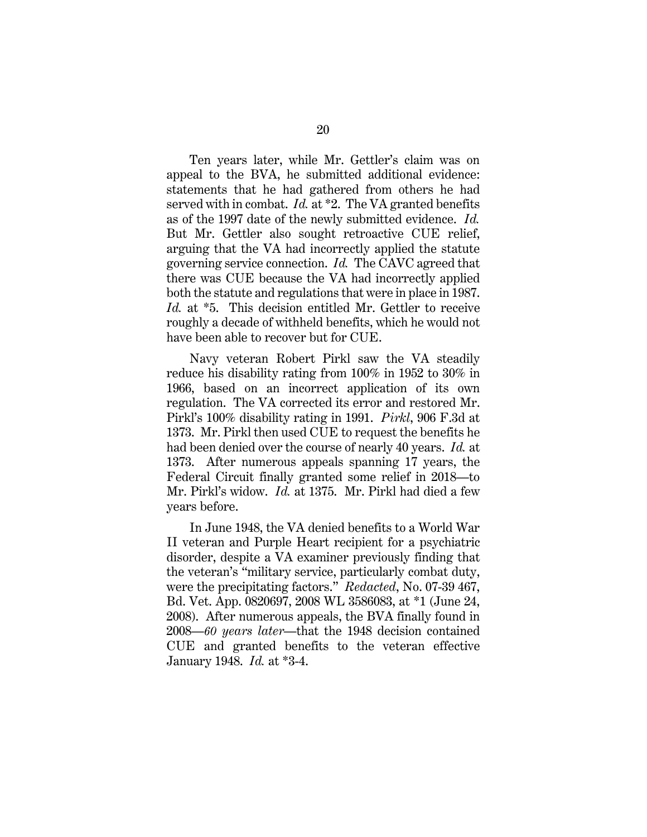<span id="page-29-0"></span>Ten years later, while Mr. Gettler's claim was on appeal to the BVA, he submitted additional evidence: statements that he had gathered from others he had served with in combat. *Id.* at \*2. The VA granted benefits as of the 1997 date of the newly submitted evidence. *Id.* But Mr. Gettler also sought retroactive CUE relief, arguing that the VA had incorrectly applied the statute governing service connection. *Id.* The CAVC agreed that there was CUE because the VA had incorrectly applied both the statute and regulations that were in place in 1987. *Id.* at \*5. This decision entitled Mr. Gettler to receive roughly a decade of withheld benefits, which he would not have been able to recover but for CUE.

<span id="page-29-1"></span>Navy veteran Robert Pirkl saw the VA steadily reduce his disability rating from 100% in 1952 to 30% in 1966, based on an incorrect application of its own regulation. The VA corrected its error and restored Mr. Pirkl's 100% disability rating in 1991. *Pirkl*, 906 F.3d at 1373. Mr. Pirkl then used CUE to request the benefits he had been denied over the course of nearly 40 years. *Id.* at 1373. After numerous appeals spanning 17 years, the Federal Circuit finally granted some relief in 2018—to Mr. Pirkl's widow. *Id.* at 1375. Mr. Pirkl had died a few years before.

<span id="page-29-2"></span>In June 1948, the VA denied benefits to a World War II veteran and Purple Heart recipient for a psychiatric disorder, despite a VA examiner previously finding that the veteran's "military service, particularly combat duty, were the precipitating factors." *Redacted*, No. 07-39 467, Bd. Vet. App. 0820697, 2008 WL 3586083, at \*1 (June 24, 2008). After numerous appeals, the BVA finally found in 2008—*60 years later*—that the 1948 decision contained CUE and granted benefits to the veteran effective January 1948. *Id.* at \*3-4.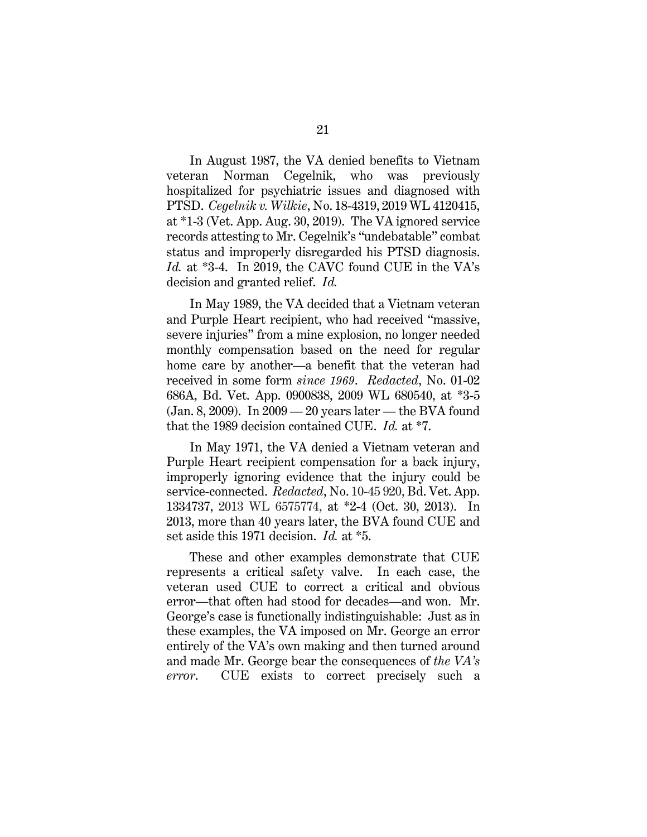<span id="page-30-0"></span>In August 1987, the VA denied benefits to Vietnam veteran Norman Cegelnik, who was previously hospitalized for psychiatric issues and diagnosed with PTSD. *Cegelnik v. Wilkie*, No. 18-4319, 2019 WL 4120415, at \*1-3 (Vet. App. Aug. 30, 2019). The VA ignored service records attesting to Mr. Cegelnik's "undebatable" combat status and improperly disregarded his PTSD diagnosis. *Id.* at \*3-4. In 2019, the CAVC found CUE in the VA's decision and granted relief. *Id.*

In May 1989, the VA decided that a Vietnam veteran and Purple Heart recipient, who had received "massive, severe injuries" from a mine explosion, no longer needed monthly compensation based on the need for regular home care by another—a benefit that the veteran had received in some form *since 1969*. *Redacted*, No. 01-02 686A, Bd. Vet. App. 0900838, 2009 WL 680540, at \*3-5 (Jan. 8, 2009). In 2009 — 20 years later — the BVA found that the 1989 decision contained CUE. *Id.* at \*7.

<span id="page-30-2"></span><span id="page-30-1"></span>In May 1971, the VA denied a Vietnam veteran and Purple Heart recipient compensation for a back injury, improperly ignoring evidence that the injury could be service-connected. *Redacted*, No. 10-45 920, Bd. Vet. App. 1334737, 2013 WL 6575774, at \*2-4 (Oct. 30, 2013). In 2013, more than 40 years later, the BVA found CUE and set aside this 1971 decision. *Id.* at \*5.

These and other examples demonstrate that CUE represents a critical safety valve. In each case, the veteran used CUE to correct a critical and obvious error—that often had stood for decades—and won. Mr. George's case is functionally indistinguishable: Just as in these examples, the VA imposed on Mr. George an error entirely of the VA's own making and then turned around and made Mr. George bear the consequences of *the VA's error*. CUE exists to correct precisely such a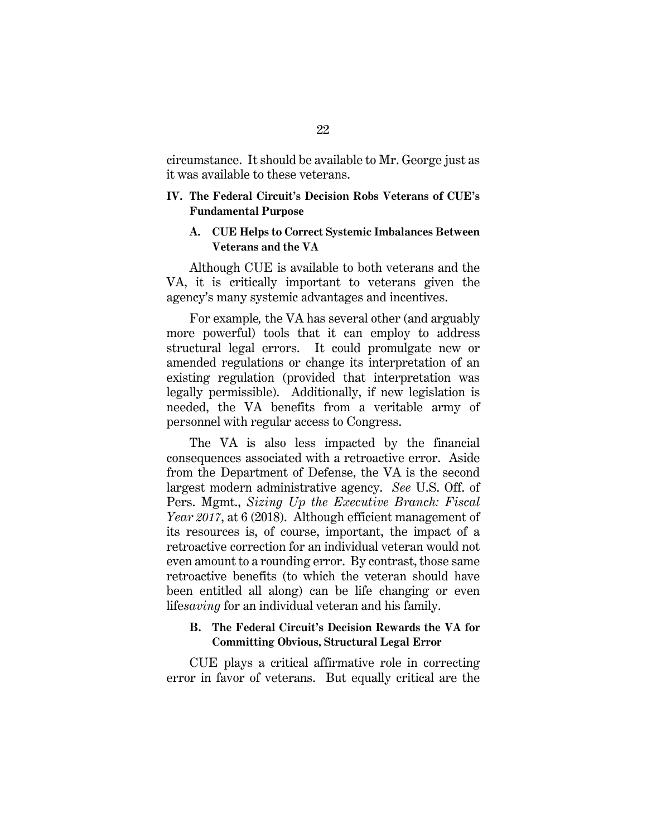circumstance. It should be available to Mr. George just as it was available to these veterans.

#### <span id="page-31-0"></span>**IV. The Federal Circuit's Decision Robs Veterans of CUE's Fundamental Purpose**

#### <span id="page-31-1"></span>**A. CUE Helps to Correct Systemic Imbalances Between Veterans and the VA**

Although CUE is available to both veterans and the VA, it is critically important to veterans given the agency's many systemic advantages and incentives.

For example*,* the VA has several other (and arguably more powerful) tools that it can employ to address structural legal errors. It could promulgate new or amended regulations or change its interpretation of an existing regulation (provided that interpretation was legally permissible). Additionally, if new legislation is needed, the VA benefits from a veritable army of personnel with regular access to Congress.

<span id="page-31-3"></span>The VA is also less impacted by the financial consequences associated with a retroactive error. Aside from the Department of Defense, the VA is the second largest modern administrative agency. *See* U.S. Off. of Pers. Mgmt., *Sizing Up the Executive Branch: Fiscal Year 2017*, at 6 (2018). Although efficient management of its resources is, of course, important, the impact of a retroactive correction for an individual veteran would not even amount to a rounding error. By contrast, those same retroactive benefits (to which the veteran should have been entitled all along) can be life changing or even life*saving* for an individual veteran and his family.

### <span id="page-31-2"></span>**B. The Federal Circuit's Decision Rewards the VA for Committing Obvious, Structural Legal Error**

CUE plays a critical affirmative role in correcting error in favor of veterans. But equally critical are the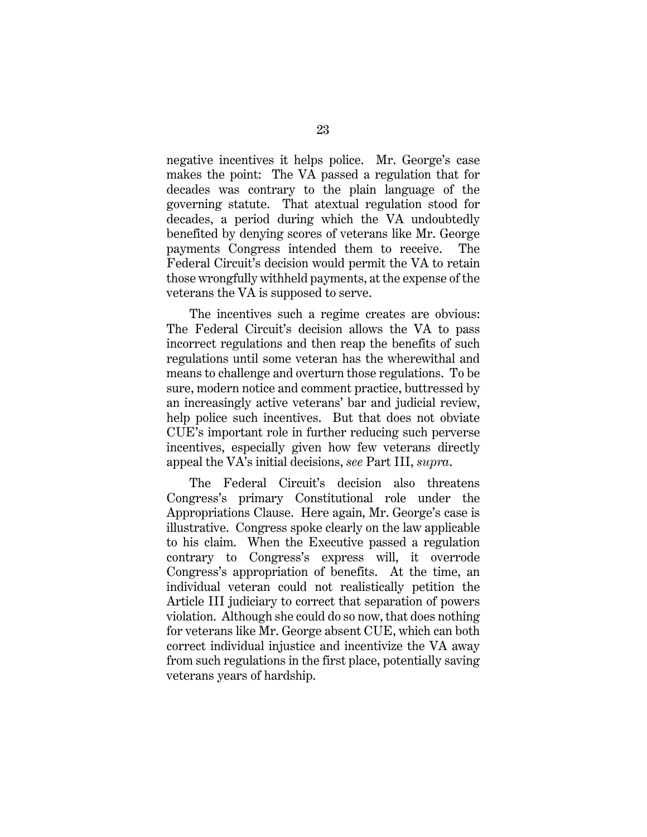negative incentives it helps police. Mr. George's case makes the point: The VA passed a regulation that for decades was contrary to the plain language of the governing statute. That atextual regulation stood for decades, a period during which the VA undoubtedly benefited by denying scores of veterans like Mr. George payments Congress intended them to receive. The Federal Circuit's decision would permit the VA to retain those wrongfully withheld payments, at the expense of the veterans the VA is supposed to serve.

The incentives such a regime creates are obvious: The Federal Circuit's decision allows the VA to pass incorrect regulations and then reap the benefits of such regulations until some veteran has the wherewithal and means to challenge and overturn those regulations. To be sure, modern notice and comment practice, buttressed by an increasingly active veterans' bar and judicial review, help police such incentives. But that does not obviate CUE's important role in further reducing such perverse incentives, especially given how few veterans directly appeal the VA's initial decisions, *see* Part III, *supra*.

The Federal Circuit's decision also threatens Congress's primary Constitutional role under the Appropriations Clause. Here again, Mr. George's case is illustrative. Congress spoke clearly on the law applicable to his claim. When the Executive passed a regulation contrary to Congress's express will, it overrode Congress's appropriation of benefits. At the time, an individual veteran could not realistically petition the Article III judiciary to correct that separation of powers violation. Although she could do so now, that does nothing for veterans like Mr. George absent CUE, which can both correct individual injustice and incentivize the VA away from such regulations in the first place, potentially saving veterans years of hardship.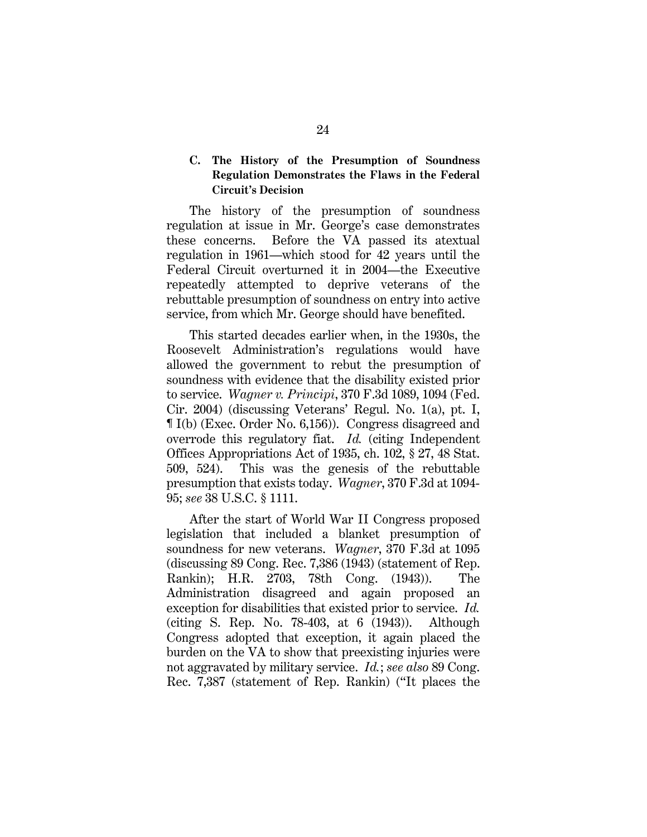### <span id="page-33-0"></span>**C. The History of the Presumption of Soundness Regulation Demonstrates the Flaws in the Federal Circuit's Decision**

The history of the presumption of soundness regulation at issue in Mr. George's case demonstrates these concerns. Before the VA passed its atextual regulation in 1961—which stood for 42 years until the Federal Circuit overturned it in 2004—the Executive repeatedly attempted to deprive veterans of the rebuttable presumption of soundness on entry into active service, from which Mr. George should have benefited.

<span id="page-33-1"></span>This started decades earlier when, in the 1930s, the Roosevelt Administration's regulations would have allowed the government to rebut the presumption of soundness with evidence that the disability existed prior to service. *Wagner v. Principi*, 370 F.3d 1089, 1094 (Fed. Cir. 2004) (discussing Veterans' Regul. No. 1(a), pt. I, ¶ I(b) (Exec. Order No. 6,156)). Congress disagreed and overrode this regulatory fiat. *Id.* (citing Independent Offices Appropriations Act of 1935, ch. 102, § 27, 48 Stat. 509, 524). This was the genesis of the rebuttable presumption that exists today. *Wagner*, 370 F.3d at 1094- 95; *see* 38 U.S.C. § 1111.

<span id="page-33-8"></span><span id="page-33-7"></span><span id="page-33-6"></span><span id="page-33-5"></span><span id="page-33-4"></span><span id="page-33-3"></span><span id="page-33-2"></span>After the start of World War II Congress proposed legislation that included a blanket presumption of soundness for new veterans. *Wagner*, 370 F.3d at 1095 (discussing 89 Cong. Rec. 7,386 (1943) (statement of Rep. Rankin); H.R. 2703, 78th Cong. (1943)). The Administration disagreed and again proposed an exception for disabilities that existed prior to service. *Id.* (citing S. Rep. No. 78-403, at 6 (1943)). Although Congress adopted that exception, it again placed the burden on the VA to show that preexisting injuries were not aggravated by military service. *Id.*; *see also* 89 Cong. Rec. 7,387 (statement of Rep. Rankin) ("It places the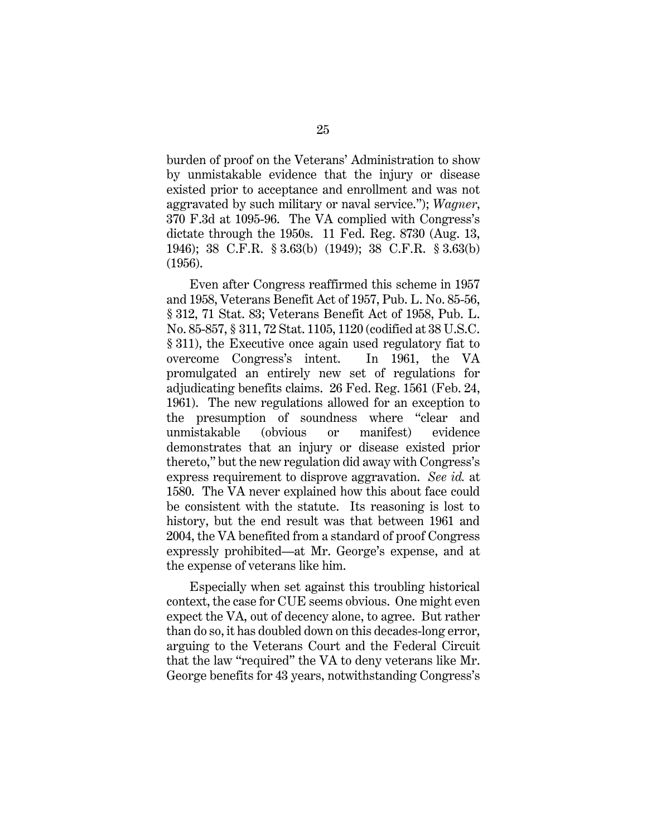burden of proof on the Veterans' Administration to show by unmistakable evidence that the injury or disease existed prior to acceptance and enrollment and was not aggravated by such military or naval service."); *Wagner*, 370 F.3d at 1095-96. The VA complied with Congress's dictate through the 1950s. 11 Fed. Reg. 8730 (Aug. 13, 1946); 38 C.F.R. § 3.63(b) (1949); 38 C.F.R. § 3.63(b) (1956).

<span id="page-34-4"></span><span id="page-34-3"></span><span id="page-34-2"></span><span id="page-34-1"></span><span id="page-34-0"></span>Even after Congress reaffirmed this scheme in 1957 and 1958, Veterans Benefit Act of 1957, Pub. L. No. 85-56, § 312, 71 Stat. 83; Veterans Benefit Act of 1958, Pub. L. No. 85-857, § 311, 72 Stat. 1105, 1120 (codified at 38 U.S.C. § 311), the Executive once again used regulatory fiat to overcome Congress's intent. In 1961, the VA promulgated an entirely new set of regulations for adjudicating benefits claims. 26 Fed. Reg. 1561 (Feb. 24, 1961). The new regulations allowed for an exception to the presumption of soundness where "clear and unmistakable (obvious or manifest) evidence demonstrates that an injury or disease existed prior thereto," but the new regulation did away with Congress's express requirement to disprove aggravation. *See id.* at 1580. The VA never explained how this about face could be consistent with the statute. Its reasoning is lost to history, but the end result was that between 1961 and 2004, the VA benefited from a standard of proof Congress expressly prohibited—at Mr. George's expense, and at the expense of veterans like him.

<span id="page-34-5"></span>Especially when set against this troubling historical context, the case for CUE seems obvious. One might even expect the VA, out of decency alone, to agree. But rather than do so, it has doubled down on this decades-long error, arguing to the Veterans Court and the Federal Circuit that the law "required" the VA to deny veterans like Mr. George benefits for 43 years, notwithstanding Congress's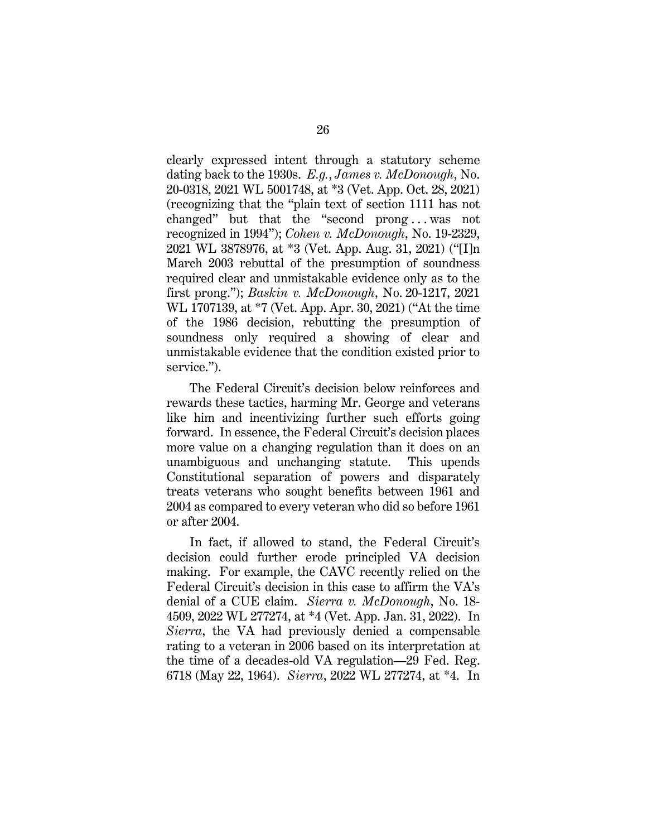<span id="page-35-2"></span><span id="page-35-1"></span>clearly expressed intent through a statutory scheme dating back to the 1930s. *E.g.*, *James v. McDonough*, No. 20-0318, 2021 WL 5001748, at \*3 (Vet. App. Oct. 28, 2021) (recognizing that the "plain text of section 1111 has not changed" but that the "second prong . . . was not recognized in 1994"); *Cohen v. McDonough*, No. 19-2329, 2021 WL 3878976, at \*3 (Vet. App. Aug. 31, 2021) ("[I]n March 2003 rebuttal of the presumption of soundness required clear and unmistakable evidence only as to the first prong."); *Baskin v. McDonough*, No. 20-1217, 2021 WL 1707139, at \*7 (Vet. App. Apr. 30, 2021) ("At the time of the 1986 decision, rebutting the presumption of soundness only required a showing of clear and unmistakable evidence that the condition existed prior to service.").

<span id="page-35-0"></span>The Federal Circuit's decision below reinforces and rewards these tactics, harming Mr. George and veterans like him and incentivizing further such efforts going forward. In essence, the Federal Circuit's decision places more value on a changing regulation than it does on an unambiguous and unchanging statute. This upends Constitutional separation of powers and disparately treats veterans who sought benefits between 1961 and 2004 as compared to every veteran who did so before 1961 or after 2004.

<span id="page-35-4"></span><span id="page-35-3"></span>In fact, if allowed to stand, the Federal Circuit's decision could further erode principled VA decision making. For example, the CAVC recently relied on the Federal Circuit's decision in this case to affirm the VA's denial of a CUE claim. *Sierra v. McDonough*, No. 18- 4509, 2022 WL 277274, at \*4 (Vet. App. Jan. 31, 2022). In *Sierra*, the VA had previously denied a compensable rating to a veteran in 2006 based on its interpretation at the time of a decades-old VA regulation—29 Fed. Reg. 6718 (May 22, 1964). *Sierra*, 2022 WL 277274, at \*4. In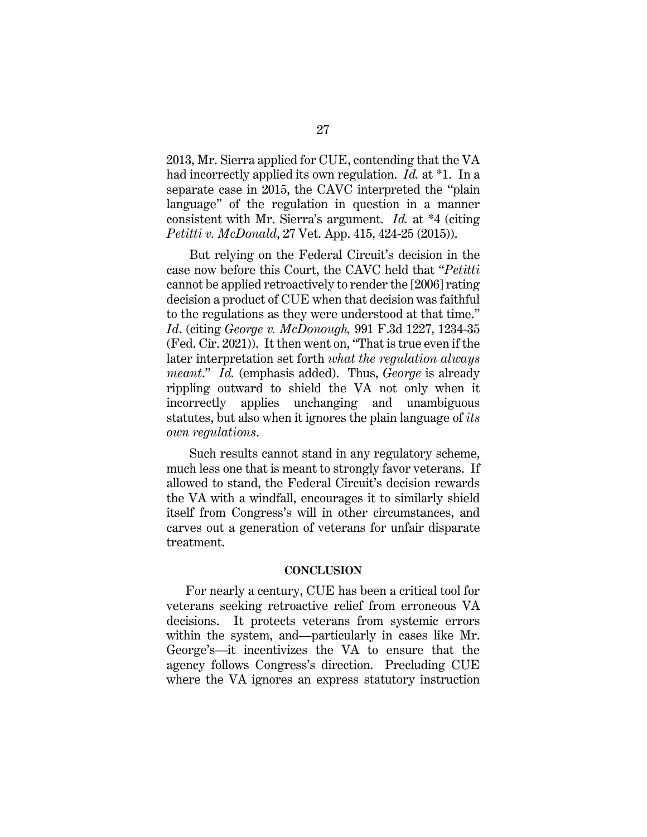2013, Mr. Sierra applied for CUE, contending that the VA had incorrectly applied its own regulation. *Id.* at \*1. In a separate case in 2015, the CAVC interpreted the "plain language" of the regulation in question in a manner consistent with Mr. Sierra's argument. *Id.* at \*4 (citing *Petitti v. McDonald*, 27 Vet. App. 415, 424-25 (2015)).

<span id="page-36-1"></span>But relying on the Federal Circuit's decision in the case now before this Court, the CAVC held that "*Petitti* cannot be applied retroactively to render the [2006] rating decision a product of CUE when that decision was faithful to the regulations as they were understood at that time." *Id*. (citing *George v. McDonough,* 991 F.3d 1227, 1234-35 (Fed. Cir. 2021)). It then went on, "That is true even if the later interpretation set forth *what the regulation always meant*." *Id.* (emphasis added). Thus, *George* is already rippling outward to shield the VA not only when it incorrectly applies unchanging and unambiguous statutes, but also when it ignores the plain language of *its own regulations*.

Such results cannot stand in any regulatory scheme, much less one that is meant to strongly favor veterans. If allowed to stand, the Federal Circuit's decision rewards the VA with a windfall, encourages it to similarly shield itself from Congress's will in other circumstances, and carves out a generation of veterans for unfair disparate treatment.

#### **CONCLUSION**

<span id="page-36-0"></span>For nearly a century, CUE has been a critical tool for veterans seeking retroactive relief from erroneous VA decisions. It protects veterans from systemic errors within the system, and—particularly in cases like Mr. George's—it incentivizes the VA to ensure that the agency follows Congress's direction. Precluding CUE where the VA ignores an express statutory instruction